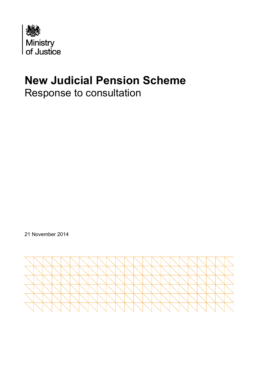

# **New Judicial Pension Scheme**  Response to consultation

21 November 2014

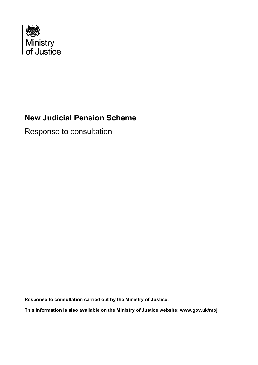

# **New Judicial Pension Scheme**

Response to consultation

**Response to consultation carried out by the Ministry of Justice.** 

**This information is also available on the Ministry of Justice website: [www.gov.uk/](http://www.gov.uk/)moj**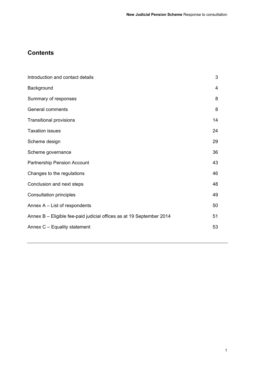### **Contents**

| Introduction and contact details                                     | 3              |
|----------------------------------------------------------------------|----------------|
| Background                                                           | $\overline{4}$ |
| Summary of responses                                                 | 8              |
| General comments                                                     | 8              |
| <b>Transitional provisions</b>                                       | 14             |
| <b>Taxation issues</b>                                               | 24             |
| Scheme design                                                        | 29             |
| Scheme governance                                                    | 36             |
| <b>Partnership Pension Account</b>                                   | 43             |
| Changes to the regulations                                           | 46             |
| Conclusion and next steps                                            | 48             |
| <b>Consultation principles</b>                                       | 49             |
| Annex A – List of respondents                                        | 50             |
| Annex B - Eligible fee-paid judicial offices as at 19 September 2014 | 51             |
| Annex C - Equality statement                                         | 53             |
|                                                                      |                |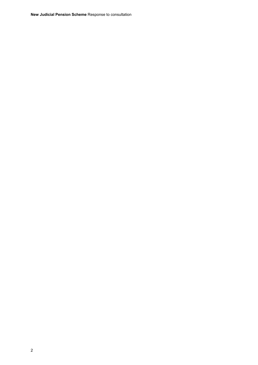**New Judicial Pension Scheme** Response to consultation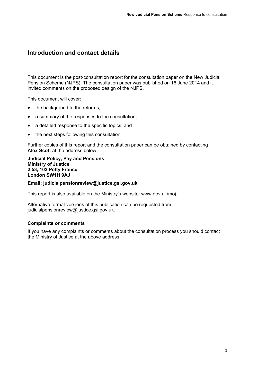### <span id="page-6-0"></span>**Introduction and contact details**

This document is the post-consultation report for the consultation paper on the New Judicial Pension Scheme (NJPS). The consultation paper was published on 16 June 2014 and it invited comments on the proposed design of the NJPS.

This document will cover:

- the background to the reforms;
- a summary of the responses to the consultation;
- a detailed response to the specific topics; and
- the next steps following this consultation.

Further copies of this report and the consultation paper can be obtained by contacting **Alex Scott** at the address below:

**Judicial Policy, Pay and Pensions Ministry of Justice 2.53, 102 Petty France London SW1H 9AJ** 

#### **Email: judicialpensionreview@justice.gsi.gov.uk**

This report is also available on the Ministry's website: [www.gov.uk/moj](http://www.justice.gov.uk/).

Alternative format versions of this publication can be requested from judicialpensionreview@justice.gsi.gov.uk.

#### **Complaints or comments**

If you have any complaints or comments about the consultation process you should contact the Ministry of Justice at the above address.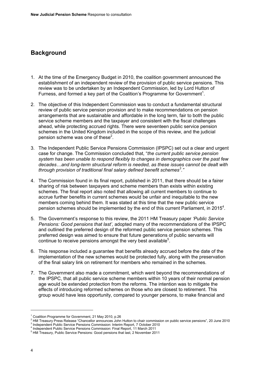### <span id="page-7-0"></span>**Background**

- 1. At the time of the Emergency Budget in 2010, the coalition government announced the establishment of an independent review of the provision of public service pensions. This review was to be undertaken by an Independent Commission, led by Lord Hutton of Furness, and formed a key part of the [Coalition's Programme for Government](https://www.gov.uk/government/uploads/system/uploads/attachment_data/file/78977/coalition_programme_for_government.pdf)<sup>1</sup>.
- 2. The objective of this Independent Commission was to conduct a fundamental structural review of public service pension provision and to make recommendations on pension arrangements that are sustainable and affordable in the long term, fair to both the public service scheme members and the taxpayer and consistent with the fiscal challenges ahead, while protecting accrued rights. There were seventeen public service pension schemes in the United Kingdom included in the scope of this review, and the judicial pension scheme was one of these $2$ .
- 3. The Independent Public Service Pensions Commission (IPSPC) set out a clear and urgent case for change. The Commission concluded that, "*the current public service pension system has been unable to respond flexibly to changes in demographics over the past few decades…and long-term structural reform is needed, as these issues cannot be dealt with through provision of traditional final salary defined benefit schemes<sup>3</sup> ."*
- 4. The Commission found in its final report, published in 2011, that there should be a fairer sharing of risk between taxpayers and scheme members than exists within existing schemes. The final report also noted that allowing all current members to continue to accrue further benefits in current schemes would be unfair and inequitable to the new members coming behind them. It was stated at this time that the new public service pension schemes should be implemented by the end of this current Parliament, in 2015 $4$ .
- 5. The Government's response to this review, the 2011 HM Treasury paper *['Public Service](https://www.gov.uk/government/uploads/system/uploads/attachment_data/file/205837/Public_Service_Pensions_-_good_pensions_that_last._Command_paper.pdf)  [Pensions: Good pensions that last'](https://www.gov.uk/government/uploads/system/uploads/attachment_data/file/205837/Public_Service_Pensions_-_good_pensions_that_last._Command_paper.pdf),* adopted many of the recommendations of the IPSPC and outlined the preferred design of the reformed public service pension schemes. This preferred design was aimed to ensure that future generations of public servants will continue to receive pensions amongst the very best available<sup>5</sup>.
- 6. This response included a guarantee that benefits already accrued before the date of the implementation of the new schemes would be protected fully, along with the preservation of the final salary link on retirement for members who remained in the schemes.
- 7. The Government also made a commitment, which went beyond the recommendations of the IPSPC, that all public service scheme members within 10 years of their normal pension age would be extended protection from the reforms. The intention was to mitigate the effects of introducing reformed schemes on those who are closest to retirement. This group would have less opportunity, compared to younger persons, to make financial and

 $1$  [Coalition Programme for Government,](https://www.gov.uk/government/uploads/system/uploads/attachment_data/file/78977/coalition_programme_for_government.pdf) 21 May 2010, p.26

Pounds... Togical and the Chancellor announces John Hutton to chair commission on public service pensions", 20 June 2010<br><sup>3</sup> [Independent Public Service Pensions Commission: Interim Report,](http://www.nhsbsa.nhs.uk/Documents/Pensions/hutton_pensionsinterim_071010.pdf) 7 October 2010

<sup>&</sup>lt;sup>4</sup> Independent Public Service Pensions Commission: Final Report, 11 March 2011

<sup>&</sup>lt;sup>5</sup> HM Treasury, [Public Service Pensions: Good pensions that last,](https://www.gov.uk/government/uploads/system/uploads/attachment_data/file/205837/Public_Service_Pensions_-_good_pensions_that_last._Command_paper.pdf) 2 November 2011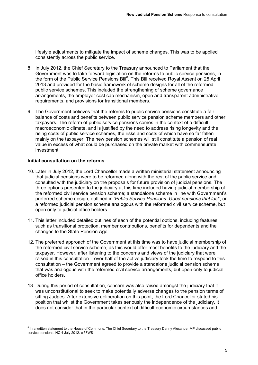lifestyle adjustments to mitigate the impact of scheme changes. This was to be applied consistently across the public service.

- 8. In July 2012, the Chief Secretary to the Treasury [announced](http://www.publications.parliament.uk/pa/cm201213/cmhansrd/cm120704/wmstext/120704m0001.htm) to Parliament that the Government was to take forward legislation on the reforms to public service pensions, in the form of the Public Service Pensions Bill<sup>6</sup>. This Bill received Royal Assent on 25 April [2013](http://services.parliament.uk/bills/2012-13/publicservicepensions.html) and provided for the basic framework of scheme designs for all of the reformed public service schemes. This included the strengthening of scheme governance arrangements, the employer cost cap mechanism, open and transparent administrative requirements, and provisions for transitional members.
- 9. The Government believes that the reforms to public service pensions constitute a fair balance of costs and benefits between public service pension scheme members and other taxpayers. The reform of public service pensions comes in the context of a difficult macroeconomic climate, and is justified by the need to address rising longevity and the rising costs of public service schemes, the risks and costs of which have so far fallen mainly on the taxpayer. The new pension schemes will still constitute a pension of real value in excess of what could be purchased on the private market with commensurate investment.

#### **Initial consultation on the reforms**

- 10. Later in July 2012, the Lord Chancellor made a written ministerial statement announcing that judicial pensions were to be reformed along with the rest of the public service and consulted with the judiciary on the proposals for future provision of judicial pensions. The three options presented to the judiciary at this time included having judicial membership of the reformed civil service pension scheme; a standalone scheme in line with Government's preferred scheme design, outlined in *['Public Service Pensions: Good pensions that last'](https://www.gov.uk/government/uploads/system/uploads/attachment_data/file/205837/Public_Service_Pensions_-_good_pensions_that_last._Command_paper.pdf)*; or a reformed judicial pension scheme analogous with the reformed civil service scheme, but open only to judicial office holders.
- 11. This letter included detailed outlines of each of the potential options, including features such as transitional protection, member contributions, benefits for dependents and the changes to the State Pension Age.
- 12. The preferred approach of the Government at this time was to have judicial membership of the reformed civil service scheme, as this would offer most benefits to the judiciary and the taxpayer. However, after listening to the concerns and views of the judiciary that were raised in this consultation – over half of the active judiciary took the time to respond to this consultation – the Government agreed to provide a standalone judicial pension scheme that was analogous with the reformed civil service arrangements, but open only to judicial office holders.
- 13. During this period of consultation, concern was also raised amongst the judiciary that it was unconstitutional to seek to make potentially adverse changes to the pension terms of sitting Judges. After extensive deliberation on this point, the Lord Chancellor stated his position that whilst the Government takes seriously the independence of the judiciary, it does not consider that in the particular context of difficult economic circumstances and

<sup>&</sup>lt;sup>6</sup> In a written statement to the House of Commons, The Chief Secretary to the Treasury Danny Alexander MP discussed public service pensions. HC 4 July 2012, c 53WS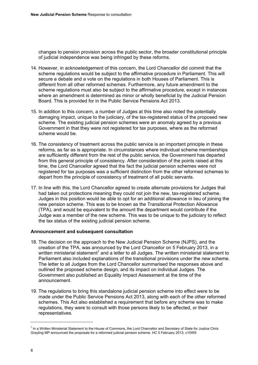changes to pension provision across the public sector, the broader constitutional principle of judicial independence was being infringed by these reforms.

- 14. However, in acknowledgement of this concern, the Lord Chancellor did commit that the scheme regulations would be subject to the affirmative procedure in Parliament. This will secure a debate and a vote on the regulations in both Houses of Parliament. This is different from all other reformed schemes. Furthermore, any future amendment to the scheme regulations must also be subject to the affirmative procedure, except in instances where an amendment is determined as minor or wholly beneficial by the Judicial Pension Board. This is provided for in the Public Service Pensions Act 2013.
- 15. In addition to this concern, a number of Judges at this time also noted the potentially damaging impact, unique to the judiciary, of the tax-registered status of the proposed new scheme. The existing judicial pension schemes were an anomaly agreed by a previous Government in that they were not registered for tax purposes, where as the reformed scheme would be.
- 16. The consistency of treatment across the public service is an important principle in these reforms, as far as is appropriate. In circumstances where individual scheme memberships are sufficiently different from the rest of the public service, the Government has departed from this general principle of consistency. After consideration of the points raised at this time, the Lord Chancellor agreed that the fact the judicial pension schemes were not registered for tax purposes was a sufficient distinction from the other reformed schemes to depart from the principle of consistency of treatment of all public servants.
- 17. In line with this, the Lord Chancellor agreed to create alternate provisions for Judges that had taken out protections meaning they could not join the new, tax-registered scheme. Judges in this position would be able to opt for an additional allowance in lieu of joining the new pension scheme. This was to be known as the Transitional Protection Allowance (TPA), and would be equivalent to the amount the department would contribute if the Judge was a member of the new scheme. This was to be unique to the judiciary to reflect the tax status of the existing judicial pension scheme.

#### **Announcement and subsequent consultation**

- 18. The decision on the approach to the New Judicial Pension Scheme (NJPS), and the creation of the TPA, was announced by the Lord Chancellor on 5 February 2013, in a [written ministerial statement](http://www.publications.parliament.uk/pa/cm201213/cmhansrd/cm130205/wmstext/130205m0001.htm#13020532000006)<sup>7</sup> and a letter to all Judges. The written ministerial statement to Parliament also included explanations of the transitional provisions under the new scheme. The letter to all Judges from the Lord Chancellor summarised the responses above and outlined the proposed scheme design, and its impact on individual Judges. The Government also published an Equality Impact Assessment at the time of the announcement.
- 19. The regulations to bring this standalone judicial pension scheme into effect were to be made under the Public Service Pensions Act 2013, along with each of the other reformed schemes. This Act also established a requirement that before any scheme was to make regulations, they were to consult with those persons likely to be affected, or their representatives.

<sup>&</sup>lt;sup>7</sup> In a Written Ministerial Statement to the House of Commons, the Lord Chancellor and Secretary of State for Justice Chris Grayling MP announced the proposals for a reformed judicial pension scheme. HC 5 February 2013, c10WS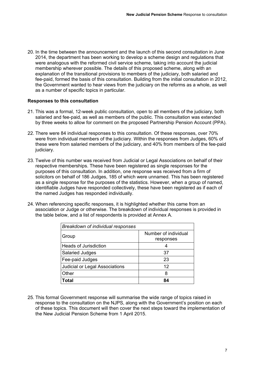20. In the time between the announcement and the launch of this second consultation in June 2014, the department has been working to develop a scheme design and regulations that were analogous with the reformed civil service scheme, taking into account the judicial membership wherever possible. The details of this proposed scheme, along with an explanation of the transitional provisions to members of the judiciary, both salaried and fee-paid, formed the basis of this consultation. Building from the initial consultation in 2012, the Government wanted to hear views from the judiciary on the reforms as a whole, as well as a number of specific topics in particular.

#### **Responses to this consultation**

- 21. This was a formal, 12-week public consultation, open to all members of the judiciary, both salaried and fee-paid, as well as members of the public. This consultation was extended by three weeks to allow for comment on the proposed Partnership Pension Account (PPA).
- 22. There were 84 individual responses to this consultation. Of these responses, over 70% were from individual members of the judiciary. Within the responses from Judges, 60% of these were from salaried members of the judiciary, and 40% from members of the fee-paid judiciary.
- 23. Twelve of this number was received from Judicial or Legal Associations on behalf of their respective memberships. These have been registered as single responses for the purposes of this consultation. In addition, one response was received from a firm of solicitors on behalf of 186 Judges, 185 of which were unnamed. This has been registered as a single response for the purposes of the statistics. However, when a group of named, identifiable Judges have responded collectively, these have been registered as if each of the named Judges has responded individually.
- 24. When referencing specific responses, it is highlighted whether this came from an association or Judge or otherwise. The breakdown of individual responses is provided in the table below, and a list of respondents is provided at Annex A.

| Breakdown of individual responses     |                                   |  |  |
|---------------------------------------|-----------------------------------|--|--|
| Group                                 | Number of individual<br>responses |  |  |
| <b>Heads of Jurisdiction</b>          |                                   |  |  |
| Salaried Judges                       | 37                                |  |  |
| Fee-paid Judges                       | 23                                |  |  |
| <b>Judicial or Legal Associations</b> | 12                                |  |  |
| Other                                 | 8                                 |  |  |
| Total                                 | 84                                |  |  |

25. This formal Government response will summarise the wide range of topics raised in response to the consultation on the NJPS, along with the Government's position on each of these topics. This document will then cover the next steps toward the implementation of the New Judicial Pension Scheme from 1 April 2015.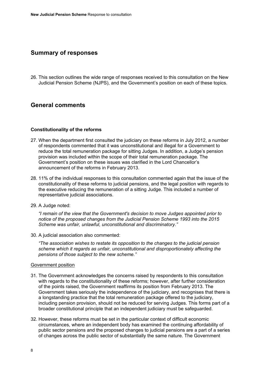### <span id="page-11-0"></span>**Summary of responses**

26. This section outlines the wide range of responses received to this consultation on the New Judicial Pension Scheme (NJPS), and the Government's position on each of these topics.

### <span id="page-11-1"></span>**General comments**

#### **Constitutionality of the reforms**

- 27. When the department first consulted the judiciary on these reforms in July 2012, a number of respondents commented that it was unconstitutional and illegal for a Government to reduce the total remuneration package for sitting Judges. In addition, a Judge's pension provision was included within the scope of their total remuneration package. The Government's position on these issues was clarified in the Lord Chancellor's announcement of the reforms in February 2013.
- 28. 11% of the individual responses to this consultation commented again that the issue of the constitutionality of these reforms to judicial pensions, and the legal position with regards to the executive reducing the remuneration of a sitting Judge. This included a number of representative judicial associations.
- 29. A Judge noted:

*"I remain of the view that the Government's decision to move Judges appointed prior to notice of the proposed changes from the Judicial Pension Scheme 1993 into the 2015 Scheme was unfair, unlawful, unconstitutional and discriminatory."* 

30. A judicial association also commented:

*"The association wishes to restate its opposition to the changes to the judicial pension scheme which it regards as unfair, unconstitutional and disproportionately affecting the pensions of those subject to the new scheme."* 

#### Government position

- 31. The Government acknowledges the concerns raised by respondents to this consultation with regards to the constitutionality of these reforms; however, after further consideration of the points raised, the Government reaffirms its position from February 2013. The Government takes seriously the independence of the judiciary, and recognises that there is a longstanding practice that the total remuneration package offered to the judiciary, including pension provision, should not be reduced for serving Judges. This forms part of a broader constitutional principle that an independent judiciary must be safeguarded.
- 32. However, these reforms must be set in the particular context of difficult economic circumstances, where an independent body has examined the continuing affordability of public sector pensions and the proposed changes to judicial pensions are a part of a series of changes across the public sector of substantially the same nature. The Government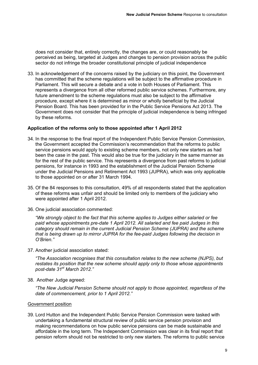does not consider that, entirely correctly, the changes are, or could reasonably be perceived as being, targeted at Judges and changes to pension provision across the public sector do not infringe the broader constitutional principle of judicial independence

33. In acknowledgement of the concerns raised by the judiciary on this point, the Government has committed that the scheme regulations will be subject to the affirmative procedure in Parliament. This will secure a debate and a vote in both Houses of Parliament. This represents a divergence from all other reformed public service schemes. Furthermore, any future amendment to the scheme regulations must also be subject to the affirmative procedure, except where it is determined as minor or wholly beneficial by the Judicial Pension Board. This has been provided for in the Public Service Pensions Act 2013. The Government does not consider that the principle of judicial independence is being infringed by these reforms.

#### **Application of the reforms only to those appointed after 1 April 2012**

- 34. In the response to the final report of the Independent Public Service Pension Commission, the Government accepted the Commission's recommendation that the reforms to public service pensions would apply to existing scheme members, not only new starters as had been the case in the past. This would also be true for the judiciary in the same manner as for the rest of the public service. This represents a divergence from past reforms to judicial pensions, for instance in 1993 and the establishment of the Judicial Pension Scheme under the Judicial Pensions and Retirement Act 1993 (JUPRA), which was only applicable to those appointed on or after 31 March 1994.
- 35. Of the 84 responses to this consultation, 49% of all respondents stated that the application of these reforms was unfair and should be limited only to members of the judiciary who were appointed after 1 April 2012.
- 36. One judicial association commented:

*"We strongly object to the fact that this scheme applies to Judges either salaried or fee paid whose appointments pre-date 1 April 2012. All salaried and fee paid Judges in this category should remain in the current Judicial Pension Scheme (JUPRA) and the scheme that is being drawn up to mirror JUPRA for the fee-paid Judges following the decision in O'Brien."* 

37. Another judicial association stated:

*"The Association recognises that this consultation relates to the new scheme (NJPS), but restates its position that the new scheme should apply only to those whose appointments post-date 31st March 2012."* 

38. Another Judge agreed:

*"The New Judicial Pension Scheme should not apply to those appointed, regardless of the date of commencement, prior to 1 April 2012."*

#### Government position

39. Lord Hutton and the Independent Public Service Pension Commission were tasked with undertaking a fundamental structural review of public service pension provision and making recommendations on how public service pensions can be made sustainable and affordable in the long term. The Independent Commission was clear in its final report that pension reform should not be restricted to only new starters. The reforms to public service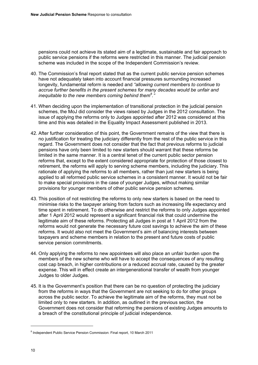pensions could not achieve its stated aim of a legitimate, sustainable and fair approach to public service pensions if the reforms were restricted in this manner. The judicial pension scheme was included in the scope of the Independent Commission's review.

- 40. The Commission's final report stated that as the current public service pension schemes have not adequately taken into account financial pressures surrounding increased longevity, fundamental reform is needed and *"allowing current members to continue to accrue further benefits in the present schemes for many decades would be unfair and inequitable to the new members coming behind them<sup>8</sup> ."*
- 41. When deciding upon the implementation of transitional protection in the judicial pension schemes, the MoJ did consider the views raised by Judges in the 2012 consultation. The issue of applying the reforms only to Judges appointed after 2012 was considered at this time and this was detailed in the Equality Impact Assessment published in 2013.
- 42. After further consideration of this point, the Government remains of the view that there is no justification for treating the judiciary differently from the rest of the public service in this regard. The Government does not consider that the fact that previous reforms to judicial pensions have only been limited to new starters should warrant that these reforms be limited in the same manner. It is a central tenet of the current public sector pension reforms that, except to the extent considered appropriate for protection of those closest to retirement, the reforms will apply to serving scheme members, including the judiciary. This rationale of applying the reforms to all members, rather than just new starters is being applied to all reformed public service schemes in a consistent manner. It would not be fair to make special provisions in the case of younger Judges, without making similar provisions for younger members of other public service pension schemes.
- 43. This position of not restricting the reforms to only new starters is based on the need to minimise risks to the taxpayer arising from factors such as increasing life expectancy and time spent in retirement. To do otherwise and restrict the reforms to only Judges appointed after 1 April 2012 would represent a significant financial risk that could undermine the legitimate aim of these reforms. Protecting all Judges in post at 1 April 2012 from the reforms would not generate the necessary future cost savings to achieve the aim of these reforms. It would also not meet the Government's aim of balancing interests between taxpayers and scheme members in relation to the present and future costs of public service pension commitments.
- 44. Only applying the reforms to new appointees will also place an unfair burden upon the members of the new scheme who will have to accept the consequences of any resulting cost cap breach, in higher contributions or a reduced accrual rate, caused by the greater expense. This will in effect create an intergenerational transfer of wealth from younger Judges to older Judges.
- 45. It is the Government's position that there can be no question of protecting the judiciary from the reforms in ways that the Government are not seeking to do for other groups across the public sector. To achieve the legitimate aim of the reforms, they must not be limited only to new starters. In addition, as outlined in the previous section, the Government does not consider that reforming the pensions of existing Judges amounts to a breach of the constitutional principle of judicial independence.

 $8$  Independent Public Service Pension Commission: Final report, 10 March 2011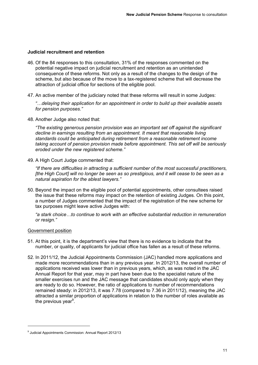#### **Judicial recruitment and retention**

- 46. Of the 84 responses to this consultation, 31% of the responses commented on the potential negative impact on judicial recruitment and retention as an unintended consequence of these reforms. Not only as a result of the changes to the design of the scheme, but also because of the move to a tax-registered scheme that will decrease the attraction of judicial office for sections of the eligible pool.
- 47. An active member of the judiciary noted that these reforms will result in some Judges:

*"…delaying their application for an appointment in order to build up their available assets for pension purposes."* 

48. Another Judge also noted that:

*"The existing generous pension provision was an important set off against the significant decline in earnings resulting from an appointment. It meant that reasonable living standards could be anticipated during retirement from a reasonable retirement income taking account of pension provision made before appointment. This set off will be seriously eroded under the new registered scheme."* 

49. A High Court Judge commented that:

*"If there are difficulties in attracting a sufficient number of the most successful practitioners, [the High Court] will no longer be seen as so prestigious, and it will cease to be seen as a natural aspiration for the ablest lawyers."* 

50. Beyond the impact on the eligible pool of potential appointments, other consultees raised the issue that these reforms may impact on the retention of existing Judges. On this point, a number of Judges commented that the impact of the registration of the new scheme for tax purposes might leave active Judges with:

*"a stark choice…to continue to work with an effective substantial reduction in remuneration or resign."* 

#### Government position

- 51. At this point, it is the department's view that there is no evidence to indicate that the number, or quality, of applicants for judicial office has fallen as a result of these reforms.
- 52. In 2011/12, the Judicial Appointments Commission (JAC) handled more applications and made more recommendations than in any previous year. In 2012/13, the overall number of applications received was lower than in previous years, which, as was noted in the [JAC](http://jac.judiciary.gov.uk/static/documents/Annual_Report_2012-2013.pdf)  [Annual Report](http://jac.judiciary.gov.uk/static/documents/Annual_Report_2012-2013.pdf) for that year, may in part have been due to the specialist nature of the smaller exercises run and the JAC message that candidates should only apply when they are ready to do so. However, the ratio of applications to number of recommendations remained steady: in 2012/13, it was 7.78 (compared to 7.36 in 2011/12), meaning the JAC attracted a similar proportion of applications in relation to the number of roles available as the previous year<sup>9</sup>.

<sup>&</sup>lt;sup>9</sup> Judicial Appointments Commission: Annual Report 2012/13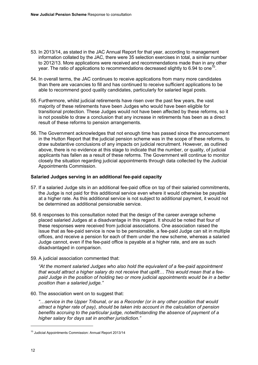- 53. In 2013/14, as stated in the [JAC Annual Report](http://jac.judiciary.gov.uk/static/documents/JAC_AR_2013-14_web.pdf) for that year, according to management information collated by the JAC, there were 35 selection exercises in total, a similar number to 2012/13. More applications were received and recommendations made than in any other year. The ratio of applications to recommendations decreased slightly to  $6.94$  to one<sup>10</sup>.
- 54. In overall terms, the JAC continues to receive applications from many more candidates than there are vacancies to fill and has continued to receive sufficient applications to be able to recommend good quality candidates, particularly for salaried legal posts.
- 55. Furthermore, whilst judicial retirements have risen over the past few years, the vast majority of these retirements have been Judges who would have been eligible for transitional protection. These Judges would not have been affected by these reforms, so it is not possible to draw a conclusion that any increase in retirements has been as a direct result of these reforms to pension arrangements.
- 56. The Government acknowledges that not enough time has passed since the announcement in the Hutton Report that the judicial pension scheme was in the scope of these reforms, to draw substantive conclusions of any impacts on judicial recruitment. However, as outlined above, there is no evidence at this stage to indicate that the number, or quality, of judicial applicants has fallen as a result of these reforms. The Government will continue to monitor closely the situation regarding judicial appointments through data collected by the Judicial Appointments Commission.

#### **Salaried Judges serving in an additional fee-paid capacity**

- 57. If a salaried Judge sits in an additional fee-paid office on top of their salaried commitments, the Judge is not paid for this additional service even where it would otherwise be payable at a higher rate. As this additional service is not subject to additional payment, it would not be determined as additional pensionable service.
- 58. 6 responses to this consultation noted that the design of the career average scheme placed salaried Judges at a disadvantage in this regard. It should be noted that four of these responses were received from judicial associations. One association raised the issue that as fee-paid service is now to be pensionable, a fee-paid Judge can sit in multiple offices, and receive a pension for each of them under the new scheme, whereas a salaried Judge cannot, even if the fee-paid office is payable at a higher rate, and are as such disadvantaged in comparison.
- 59. A judicial association commented that:

*"At the moment salaried Judges who also hold the equivalent of a fee-paid appointment that would attract a higher salary do not receive that uplift… This would mean that a feepaid Judge in the position of holding two or more judicial appointments would be in a better position than a salaried judge."* 

60. The association went on to suggest that:

*"…service in the Upper Tribunal, or as a Recorder (or in any other position that would attract a higher rate of pay), should be taken into account in the calculation of pension benefits accruing to the particular judge, notwithstanding the absence of payment of a higher salary for days sat in another jurisdiction."* 

<sup>&</sup>lt;sup>10</sup> [Judicial Appointments Commission: Annual Report 2013/14](http://jac.judiciary.gov.uk/static/documents/JAC_AR_2013-14_web.pdf)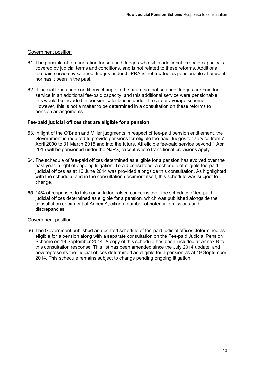#### Government position

- 61. The principle of remuneration for salaried Judges who sit in additional fee-paid capacity is covered by judicial terms and conditions, and is not related to these reforms. Additional fee-paid service by salaried Judges under JUPRA is not treated as pensionable at present, nor has it been in the past.
- 62. If judicial terms and conditions change in the future so that salaried Judges are paid for service in an additional fee-paid capacity, and this additional service were pensionable, this would be included in pension calculations under the career average scheme. However, this is not a matter to be determined in a consultation on these reforms to pension arrangements.

#### **Fee-paid judicial offices that are eligible for a pension**

- 63. In light of the O'Brien and Miller judgments in respect of fee-paid pension entitlement, the Government is required to provide pensions for eligible fee-paid Judges for service from 7 April 2000 to 31 March 2015 and into the future. All eligible fee-paid service beyond 1 April 2015 will be pensioned under the NJPS, except where transitional provisions apply.
- 64. The schedule of fee-paid offices determined as eligible for a pension has evolved over the past year in light of ongoing litigation. To aid consultees, a schedule of eligible fee-paid judicial offices as at 16 June 2014 was provided alongside this consultation. As highlighted with the schedule, and in the consultation document itself, this schedule was subject to change.
- 65. 14% of responses to this consultation raised concerns over the schedule of fee-paid judicial offices determined as eligible for a pension, which was published alongside the consultation document at Annex A, citing a number of potential omissions and discrepancies.

#### Government position

66. The Government published an updated schedule of fee-paid judicial offices determined as eligible for a pension along with a separate consultation on the Fee-paid Judicial Pension Scheme on 19 September 2014. A copy of this schedule has been included at Annex B to this consultation response. This list has been amended since the July 2014 update, and now represents the judicial offices determined as eligible for a pension as at 19 September 2014. This schedule remains subject to change pending ongoing litigation.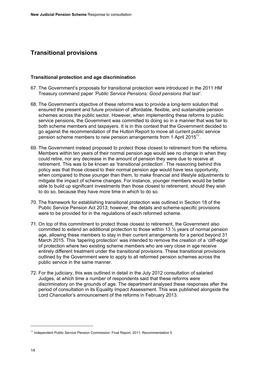### <span id="page-17-0"></span>**Transitional provisions**

#### **Transitional protection and age discrimination**

- 67. The Government's proposals for transitional protection were introduced in the 2011 HM Treasury command paper *['Public Service Pensions: Good pensions that last](https://www.gov.uk/government/uploads/system/uploads/attachment_data/file/205837/Public_Service_Pensions_-_good_pensions_that_last._Command_paper.pdf)'*.
- 68. The Government's objective of these reforms was to provide a long-term solution that ensured the present and future provision of affordable, flexible, and sustainable pension schemes across the public sector. However, when implementing these reforms to public service pensions, the Government was committed to doing so in a manner that was fair to both scheme members and taxpayers. It is in this context that the Government decided to go against the recommendation of the Hutton Report to move all current public service pension scheme members to new pension arrangements from 1 April 201511.
- 69. The Government instead proposed to protect those closest to retirement from the reforms. Members within ten years of their normal pension age would see no change in when they could retire, nor any decrease in the amount of pension they were due to receive at retirement. This was to be known as 'transitional protection'. The reasoning behind this policy was that those closest to their normal pension age would have less opportunity, when compared to those younger than them, to make financial and lifestyle adjustments to mitigate the impact of scheme changes. For instance, younger members would be better able to build up significant investments than those closest to retirement, should they wish to do so, because they have more time in which to do so.
- 70. The framework for establishing transitional protection was outlined in Section 18 of the Public Service Pension Act 2013; however, the details and scheme-specific provisions were to be provided for in the regulations of each reformed scheme.
- 71. On top of this commitment to protect those closest to retirement, the Government also committed to extend an additional protection to those within 13 ½ years of normal pension age, allowing these members to stay in their current arrangements for a period beyond 31 March 2015. This 'tapering protection' was intended to remove the creation of a 'cliff-edge' of protection where two existing scheme members who are very close in age receive entirely different treatment under the transitional provisions. These transitional provisions outlined by the Government were to apply to all reformed pension schemes across the public service in the same manner.
- 72. For the judiciary, this was outlined in detail in the July 2012 consultation of salaried Judges, at which time a number of respondents said that these reforms were discriminatory on the grounds of age. The department analysed these responses after the period of consultation in its [Equality Impact Assessment](https://consult.justice.gov.uk/digital-communications/judicial-pension-scheme-2015-consultation/supporting_documents/jpsconsultationequalityimpactassessment.pdf). This was published alongside the Lord Chancellor's announcement of the reforms in February 2013.

<sup>&</sup>lt;sup>11</sup> Independent Public Service Pension Commission: Final Report, 2011; Recommendation 5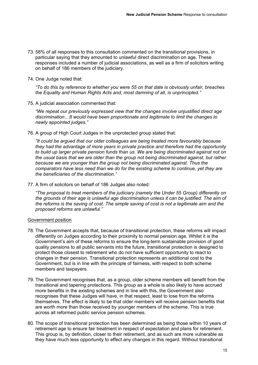- 73. 58% of all responses to this consultation commented on the transitional provisions, in particular saying that they amounted to unlawful direct discrimination on age. These responses included a number of judicial associations, as well as a firm of solicitors writing on behalf of 186 members of the judiciary.
- 74. One Judge noted that:

*"To do this by reference to whether you were 55 on that date is obviously unfair, breaches the Equality and Human Rights Acts and, most damning of all, is unprincipled."* 

75. A judicial association commented that:

*"We repeat our previously expressed view that the changes involve unjustified direct age discrimination…It would have been proportionate and legitimate to limit the changes to newly appointed judges."* 

76. A group of High Court Judges in the unprotected group stated that:

*"It could be argued that our older colleagues are being treated more favourably because they had the advantage of more years in private practice and therefore had the opportunity to build up larger private pension funds than us. We are being discriminated against not on the usual basis that we are older than the group not being discriminated against, but rather because we are younger than the group not being discriminated against. Thus the comparators have less need than we do for the existing scheme to continue, yet they are the beneficiaries of the discrimination."* 

77. A firm of solicitors on behalf of 186 Judges also noted:

*"The proposal to treat members of the judiciary (namely the Under 55 Group) differently on the grounds of their age is unlawful age discrimination unless it can be justified. The aim of the reforms is the saving of cost. The simple saving of cost is not a legitimate aim and the proposed reforms are unlawful."* 

#### Government position

- 78. The Government accepts that, because of transitional protection, these reforms will impact differently on Judges according to their proximity to normal pension age. Whilst it is the Government's aim of these reforms to ensure the long-term sustainable provision of good quality pensions to all public servants into the future, transitional protection is designed to protect those closest to retirement who do not have sufficient opportunity to react to changes in their pension. Transitional protection represents an additional cost to the Government, but is in line with the principle of fairness, with respect to both scheme members and taxpayers.
- 79. The Government recognises that, as a group, older scheme members will benefit from the transitional and tapering protections. This group as a whole is also likely to have accrued more benefits in the existing schemes and in line with this, the Government also recognises that these Judges will have, in that respect, least to lose from the reforms themselves. The effect is likely to be that older members will receive pension benefits that are worth more than those received by younger members of the scheme. This is true across all reformed public service pension schemes.
- 80. The scope of transitional protection has been determined as being those within 10 years of retirement age to ensure fair treatment in respect of expectation and plans for retirement. This group is, by definition, closer to their retirement, and as such are more vulnerable as they have much less opportunity to effect any changes in this regard. Without transitional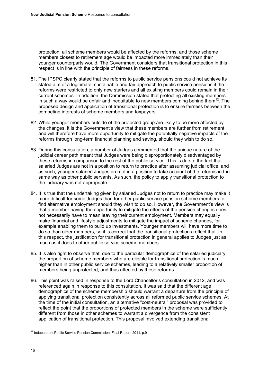protection, all scheme members would be affected by the reforms, and those scheme members closest to retirement age would be impacted more immediately than their younger counterparts would. The Government considers that transitional protection in this respect is in line with the principle of fairness in these reforms.

- 81. The IPSPC clearly stated that the reforms to public service pensions could not achieve its stated aim of a legitimate, sustainable and fair approach to public service pensions if the reforms were restricted to only new starters and all existing members could remain in their current schemes. In addition, the Commission stated that protecting all existing members in such a way would be unfair and inequitable to new members coming behind them<sup>12</sup>. The proposed design and application of transitional protection is to ensure fairness between the competing interests of scheme members and taxpayers.
- 82. While younger members outside of the protected group are likely to be more affected by the changes, it is the Government's view that these members are further from retirement and will therefore have more opportunity to mitigate the potentially negative impacts of the reforms through long-term financial planning and saving, should they wish to do so.
- 83. During this consultation, a number of Judges commented that the unique nature of the judicial career path meant that Judges were being disproportionately disadvantaged by these reforms in comparison to the rest of the public service. This is due to the fact that salaried Judges are not in a position to return to practice after assuming judicial office, and as such, younger salaried Judges are not in a position to take account of the reforms in the same way as other public servants. As such, the policy to apply transitional protection to the judiciary was not appropriate.
- 84. It is true that the undertaking given by salaried Judges not to return to practice may make it more difficult for some Judges than for other public service pension scheme members to find alternative employment should they wish to do so. However, the Government's view is that a member having the opportunity to mitigate the effects of the pension changes does not necessarily have to mean leaving their current employment. Members may equally make financial and lifestyle adjustments to mitigate the impact of scheme changes, for example enabling them to build up investments. Younger members will have more time to do so than older members, so it is correct that the transitional protections reflect that. In this respect, the justification for transitional protection in general applies to Judges just as much as it does to other public service scheme members.
- 85. It is also right to observe that, due to the particular demographics of the salaried judiciary, the proportion of scheme members who are eligible for transitional protection is much higher than in other public service schemes, leading to a relatively smaller proportion of members being unprotected, and thus affected by these reforms.
- 86. This point was raised in response to the Lord Chancellor's consultation in 2012, and was referenced again in response to this consultation. It was said that the different age demographics of the scheme membership should warrant a departure from the principle of applying transitional protection consistently across all reformed public service schemes. At the time of the initial consultation, an alternative "cost-neutral" proposal was provided to reflect the point that the proportions of protected members in the scheme were sufficiently different from those in other schemes to warrant a divergence from the consistent application of transitional protection. This proposal involved extending transitional

<sup>&</sup>lt;sup>12</sup> Independent Public Service Pension Commission: Final Report, 2011; p.9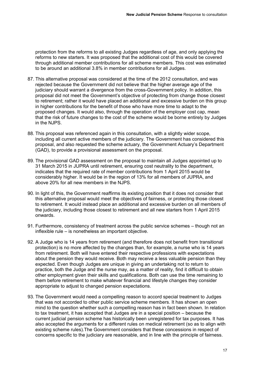protection from the reforms to all existing Judges regardless of age, and only applying the reforms to new starters. It was proposed that the additional cost of this would be covered through additional member contributions for all scheme members. This cost was estimated to be around an additional 3.8% in member contributions for all Judges.

- 87. This alternative proposal was considered at the time of the 2012 consultation, and was rejected because the Government did not believe that the higher average age of the judiciary should warrant a divergence from the cross-Government policy. In addition, this proposal did not meet the Government's objective of protecting from change those closest to retirement; rather it would have placed an additional and excessive burden on this group in higher contributions for the benefit of those who have more time to adapt to the proposed changes. It would also, through the operation of the employer cost cap, mean that the risk of future changes to the cost of the scheme would be borne entirely by Judges in the NJPS.
- 88. This proposal was referenced again in this consultation, with a slightly wider scope, including all current active members of the judiciary. The Government has considered this proposal, and also requested the scheme actuary, the Government Actuary's Department (GAD), to provide a provisional assessment on the proposal.
- 89. The provisional GAD assessment on the proposal to maintain all Judges appointed up to 31 March 2015 in JUPRA until retirement, ensuring cost neutrality to the department, indicates that the required rate of member contributions from 1 April 2015 would be considerably higher. It would be in the region of 13% for all members of JUPRA, and above 20% for all new members in the NJPS.
- 90. In light of this, the Government reaffirms its existing position that it does not consider that this alternative proposal would meet the objectives of fairness, or protecting those closest to retirement. It would instead place an additional and excessive burden on all members of the judiciary, including those closest to retirement and all new starters from 1 April 2015 onwards.
- 91. Furthermore, consistency of treatment across the public service schemes though not an inflexible rule – is nonetheless an important objective.
- 92. A Judge who is 14 years from retirement (and therefore does not benefit from transitional protection) is no more affected by the changes than, for example, a nurse who is 14 years from retirement. Both will have entered their respective professions with expectations about the pension they would receive. Both may receive a less valuable pension than they expected. Even though Judges are unique in giving an undertaking not to return to practice, both the Judge and the nurse may, as a matter of reality, find it difficult to obtain other employment given their skills and qualifications. Both can use the time remaining to them before retirement to make whatever financial and lifestyle changes they consider appropriate to adjust to changed pension expectations.
- 93. The Government would need a compelling reason to accord special treatment to Judges that was not accorded to other public service scheme members. It has shown an open mind to the question whether such a compelling reason has in fact been shown. In relation to tax treatment, it has accepted that Judges are in a special position – because the current judicial pension scheme has historically been unregistered for tax purposes. It has also accepted the arguments for a different rules on medical retirement (so as to align with existing scheme rules).The Government considers that these concessions in respect of concerns specific to the judiciary are reasonable, and in line with the principle of fairness.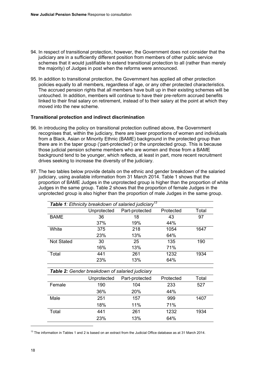- 94. In respect of transitional protection, however, the Government does not consider that the judiciary are in a sufficiently different position from members of other public service schemes that it would justifiable to extend transitional protection to all (rather than merely the majority) of Judges in post when the reforms were announced.
- 95. In addition to transitional protection, the Government has applied all other protection policies equally to all members, regardless of age, or any other protected characteristics. The accrued pension rights that all members have built up in their existing schemes will be untouched. In addition, members will continue to have their pre-reform accrued benefits linked to their final salary on retirement, instead of to their salary at the point at which they moved into the new scheme.

#### **Transitional protection and indirect discrimination**

- 96. In introducing the policy on transitional protection outlined above, the Government recognises that, within the judiciary, there are lower proportions of women and individuals from a Black, Asian or Minority Ethnic (BAME) background in the protected group than there are in the taper group ('part-protected') or the unprotected group. This is because those judicial pension scheme members who are women and those from a BAME background tend to be younger, which reflects, at least in part, more recent recruitment drives seeking to increase the diversity of the judiciary.
- 97. The two tables below provide details on the ethnic and gender breakdown of the salaried judiciary, using available information from 31 March 2014. Table 1 shows that the proportion of BAME Judges in the unprotected group is higher than the proportion of white Judges in the same group. Table 2 shows that the proportion of female Judges in the unprotected group is also higher than the proportion of male Judges in the same group.

| Table 1: Ethnicity breakdown of salaried judiciary <sup>13</sup> |             |                |           |       |
|------------------------------------------------------------------|-------------|----------------|-----------|-------|
|                                                                  | Unprotected | Part-protected | Protected | Total |
| <b>BAME</b>                                                      | 36          | 18             | 43        | 97    |
|                                                                  | 37%         | 19%            | 44%       |       |
| White                                                            | 375         | 218            | 1054      | 1647  |
|                                                                  | 23%         | 13%            | 64%       |       |
| <b>Not Stated</b>                                                | 30          | 25             | 135       | 190   |
|                                                                  | 16%         | 13%            | 71%       |       |
| Total                                                            | 441         | 261            | 1232      | 1934  |
|                                                                  | 23%         | 13%            | 64%       |       |
|                                                                  |             |                |           |       |
| <b>Table 2:</b> Gender breakdown of salaried judiciary           |             |                |           |       |

| <b>Table 2:</b> Gender breakdown of salaried judiciary |             |                |           |       |
|--------------------------------------------------------|-------------|----------------|-----------|-------|
|                                                        | Unprotected | Part-protected | Protected | Total |
| Female                                                 | 190         | 104            | 233       | 527   |
|                                                        | 36%         | 20%            | 44%       |       |
| Male                                                   | 251         | 157            | 999       | 1407  |
|                                                        | 18%         | 11%            | 71%       |       |
| Total                                                  | 441         | 261            | 1232      | 1934  |
|                                                        | 23%         | 13%            | 64%       |       |
|                                                        |             |                |           |       |

 $13$  The information in Tables 1 and 2 is based on an extract from the Judicial Office database as at 31 March 2014.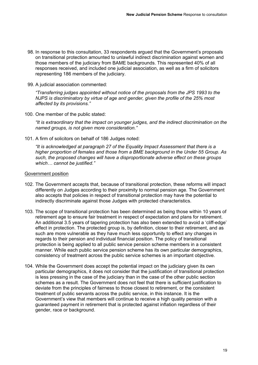- 98. In response to this consultation, 33 respondents argued that the Government's proposals on transitional protection amounted to unlawful indirect discrimination against women and those members of the judiciary from BAME backgrounds. This represented 40% of all responses received, and included one judicial association, as well as a firm of solicitors representing 186 members of the judiciary.
- 99. A judicial association commented:

*"Transferring judges appointed without notice of the proposals from the JPS 1993 to the NJPS is discriminatory by virtue of age and gender, given the profile of the 25% most affected by its provisions."* 

100. One member of the public stated:

*"It is extraordinary that the impact on younger judges, and the indirect discrimination on the named groups, is not given more consideration."* 

101. A firm of solicitors on behalf of 186 Judges noted:

*"It is acknowledged at paragraph 27 of the Equality Impact Assessment that there is a higher proportion of females and those from a BME background in the Under 55 Group. As such, the proposed changes will have a disproportionate adverse effect on these groups which… cannot be justified."* 

#### Government position

- 102. The Government accepts that, because of transitional protection, these reforms will impact differently on Judges according to their proximity to normal pension age. The Government also accepts that policies in respect of transitional protection may have the potential to indirectly discriminate against those Judges with protected characteristics.
- 103. The scope of transitional protection has been determined as being those within 10 years of retirement age to ensure fair treatment in respect of expectation and plans for retirement. An additional 3.5 years of tapering protection has also been extended to avoid a 'cliff-edge' effect in protection. The protected group is, by definition, closer to their retirement, and as such are more vulnerable as they have much less opportunity to effect any changes in regards to their pension and individual financial position. The policy of transitional protection is being applied to all public service pension scheme members in a consistent manner. While each public service pension scheme has its own particular demographics, consistency of treatment across the public service schemes is an important objective.
- 104. While the Government does accept the potential impact on the judiciary given its own particular demographics, it does not consider that the justification of transitional protection is less pressing in the case of the judiciary than in the case of the other public section schemes as a result. The Government does not feel that there is sufficient justification to deviate from the principles of fairness to those closest to retirement, or the consistent treatment of public servants across the public service, in this instance. It is the Government's view that members will continue to receive a high quality pension with a guaranteed payment in retirement that is protected against inflation regardless of their gender, race or background.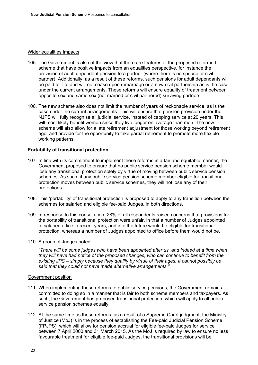#### Wider equalities impacts

- 105. The Government is also of the view that there are features of the proposed reformed scheme that have positive impacts from an equalities perspective, for instance the provision of adult dependant pension to a partner (where there is no spouse or civil partner). Additionally, as a result of these reforms, such pensions for adult dependants will be paid for life and will not cease upon remarriage or a new civil partnership as is the case under the current arrangements. These reforms will ensure equality of treatment between opposite sex and same sex (not married or civil partnered) surviving partners.
- 106. The new scheme also does not limit the number of years of reckonable service, as is the case under the current arrangements. This will ensure that pension provision under the NJPS will fully recognise all judicial service, instead of capping service at 20 years. This will most likely benefit women since they live longer on average than men. The new scheme will also allow for a late retirement adjustment for those working beyond retirement age, and provide for the opportunity to take partial retirement to promote more flexible working patterns.

#### **Portability of transitional protection**

- 107. In line with its commitment to implement these reforms in a fair and equitable manner, the Government proposed to ensure that no public service pension scheme member would lose any transitional protection solely by virtue of moving between public service pension schemes. As such, if any public service pension scheme member eligible for transitional protection moves between public service schemes, they will not lose any of their protections.
- 108. This 'portability' of transitional protection is proposed to apply to any transition between the schemes for salaried and eligible fee-paid Judges, in both directions.
- 109. In response to this consultation, 28% of all respondents raised concerns that provisions for the portability of transitional protection were unfair, in that a number of Judges appointed to salaried office in recent years, and into the future would be eligible for transitional protection, whereas a number of Judges appointed to office before them would not be.
- 110. A group of Judges noted:

*"There will be some judges who have been appointed after us, and indeed at a time when they will have had notice of the proposed changes, who can continue to benefit from the existing JPS – simply because they qualify by virtue of their ages. It cannot possibly be said that they could not have made alternative arrangements."* 

#### Government position

- 111. When implementing these reforms to public service pensions, the Government remains committed to doing so in a manner that is fair to both scheme members and taxpayers. As such, the Government has proposed transitional protection, which will apply to all public service pension schemes equally.
- 112. At the same time as these reforms, as a result of a Supreme Court judgment, the Ministry of Justice (MoJ) is in the process of establishing the Fee-paid Judicial Pension Scheme (FPJPS), which will allow for pension accrual for eligible fee-paid Judges for service between 7 April 2000 and 31 March 2015. As the MoJ is required by law to ensure no less favourable treatment for eligible fee-paid Judges, the transitional provisions will be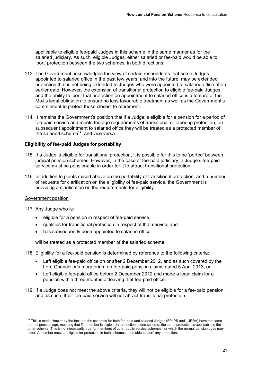applicable to eligible fee-paid Judges in this scheme in the same manner as for the salaried judiciary. As such, eligible Judges, either salaried or fee-paid would be able to 'port' protection between the two schemes, in both directions.

- 113. The Government acknowledges the view of certain respondents that some Judges appointed to salaried office in the past few years, and into the future, may be extended protection that is not being extended to Judges who were appointed to salaried office at an earlier date. However, the extension of transitional protection to eligible fee-paid Judges and the ability to 'port' that protection on appointment to salaried office is a feature of the MoJ's legal obligation to ensure no less favourable treatment as well as the Government's commitment to protect those closest to retirement.
- 114. It remains the Government's position that if a Judge is eligible for a pension for a period of fee-paid service and meets the age requirements of transitional or tapering protection, on subsequent appointment to salaried office they will be treated as a protected member of the salaried scheme<sup>14</sup>, and vice versa.

#### **Eligibility of fee-paid Judges for portability**

- 115. If a Judge is eligible for transitional protection, it is possible for this to be 'ported' between judicial pension schemes. However, in the case of fee-paid judiciary, a Judge's fee-paid service must be pensionable in order for it to attract transitional protection.
- 116. In addition to points raised above on the portability of transitional protection, and a number of requests for clarification on the eligibility of fee-paid service, the Government is providing a clarification on the requirements for eligibility.

#### Government position

-

117. Any Judge who is:

- eligible for a pension in respect of fee-paid service,
- qualifies for transitional protection in respect of that service, and
- has subsequently been appointed to salaried office,

will be treated as a protected member of the salaried scheme.

- 118. Eligibility for a fee-paid pension is determined by reference to the following criteria:
	- Left eligible fee-paid office on or after 2 December 2012, and as such covered by the Lord Chancellor's moratorium on fee-paid pension claims dated 5 April 2013; or
	- Left eligible fee-paid office before 2 December 2012 and made a legal claim for a pension within three months of leaving that fee-paid office.
- 119. If a Judge does not meet the above criteria, they will not be eligible for a fee-paid pension, and as such, their fee-paid service will not attract transitional protection.

<sup>&</sup>lt;sup>14</sup> This is made simpler by the fact that the schemes for both fee-paid and salaried Judges (FPJPS and JUPRA) have the same normal pension age, meaning that if a member is eligible for protection in one scheme, the same protection is applicable in the other scheme. This is not necessarily true for members of other public service schemes, for which the normal pension ages may differ. A member must be eligible for protection in both schemes to be able to 'port' any protection.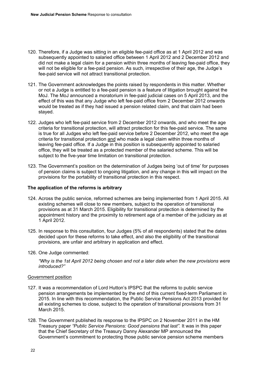- 120. Therefore, if a Judge was sitting in an eligible fee-paid office as at 1 April 2012 and was subsequently appointed to salaried office between 1 April 2012 and 2 December 2012 and did not make a legal claim for a pension within three months of leaving fee-paid office, they will not be eligible for a fee-paid pension. As such, irrespective of their age, the Judge's fee-paid service will not attract transitional protection.
- 121. The Government acknowledges the points raised by respondents in this matter. Whether or not a Judge is entitled to a fee-paid pension is a feature of litigation brought against the MoJ. The MoJ announced a moratorium in fee-paid judicial cases on 5 April 2013, and the effect of this was that any Judge who left fee-paid office from 2 December 2012 onwards would be treated as if they had issued a pension related claim, and that claim had been stayed.
- 122. Judges who left fee-paid service from 2 December 2012 onwards, and who meet the age criteria for transitional protection, will attract protection for this fee-paid service. The same is true for all Judges who left fee-paid service before 2 December 2012, who meet the age criteria for transitional protection and who made a legal claim within three months of leaving fee-paid office. If a Judge in this position is subsequently appointed to salaried office, they will be treated as a protected member of the salaried scheme. This will be subject to the five-year time limitation on transitional protection.
- 123. The Government's position on the determination of Judges being 'out of time' for purposes of pension claims is subject to ongoing litigation, and any change in this will impact on the provisions for the portability of transitional protection in this respect.

#### **The application of the reforms is arbitrary**

- 124. Across the public service, reformed schemes are being implemented from 1 April 2015. All existing schemes will close to new members, subject to the operation of transitional provisions as at 31 March 2015. Eligibility for transitional protection is determined by the appointment history and the proximity to retirement age of a member of the judiciary as at 1 April 2012.
- 125. In response to this consultation, four Judges (5% of all respondents) stated that the dates decided upon for these reforms to take effect, and also the eligibility of the transitional provisions, are unfair and arbitrary in application and effect.
- 126. One Judge commented:

*"Why is the 1st April 2012 being chosen and not a later date when the new provisions were introduced?"* 

#### Government position

- 127. It was a recommendation of Lord Hutton's IPSPC that the reforms to public service pension arrangements be implemented by the end of this current fixed-term Parliament in 2015. In line with this recommendation, the Public Service Pensions Act 2013 provided for all existing schemes to close, subject to the operation of transitional provisions from 31 March 2015.
- 128. The Government published its response to the IPSPC on 2 November 2011 in the HM Treasury paper *["Public Service Pensions: Good pensions that last"](https://www.gov.uk/government/uploads/system/uploads/attachment_data/file/205837/Public_Service_Pensions_-_good_pensions_that_last._Command_paper.pdf).* It was in this paper that the Chief Secretary of the Treasury Danny Alexander MP announced the Government's commitment to protecting those public service pension scheme members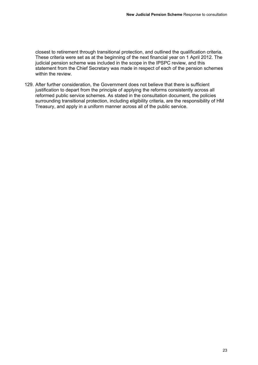closest to retirement through transitional protection, and outlined the qualification criteria. These criteria were set as at the beginning of the next financial year on 1 April 2012. The judicial pension scheme was included in the scope in the IPSPC review, and this statement from the Chief Secretary was made in respect of each of the pension schemes within the review.

129. After further consideration, the Government does not believe that there is sufficient justification to depart from the principle of applying the reforms consistently across all reformed public service schemes. As stated in the consultation document, the policies surrounding transitional protection, including eligibility criteria, are the responsibility of HM Treasury, and apply in a uniform manner across all of the public service.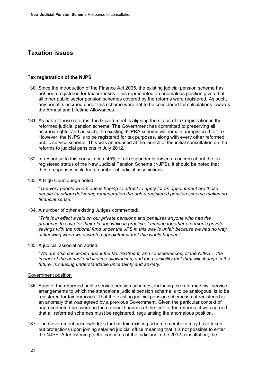### <span id="page-27-0"></span>**Taxation issues**

#### **Tax registration of the NJPS**

- 130. Since the introduction of the Finance Act 2005, the existing judicial pension scheme has not been registered for tax purposes. This represented an anomalous position given that all other public sector pension schemes covered by the reforms were registered. As such, any benefits accrued under this scheme were not to be considered for calculations towards the Annual and Lifetime Allowances.
- 131. As part of these reforms, the Government is aligning the status of tax registration in the reformed judicial pension scheme. The Government has committed to preserving all accrued rights, and as such, the existing JUPRA scheme will remain unregistered for tax. However, the NJPS is to be registered for tax purposes, along with every other reformed public service scheme. This was announced at the launch of the initial consultation on the reforms to judicial pensions in July 2012.
- 132. In response to this consultation, 45% of all respondents raised a concern about the taxregistered status of the New Judicial Pension Scheme (NJPS). It should be noted that these responses included a number of judicial associations.
- 133. A High Court Judge noted:

*"The very people whom one is hoping to attract to apply for an appointment are those people for whom delivering remuneration through a registered pension scheme makes no financial sense."* 

134. A number of other existing Judges commented:

*"This is in effect a raid on our private pensions and penalises anyone who had the prudence to save for their old age while in practice. Lumping together a person's private savings with the notional fund under the JPS in this way is unfair because we had no way of knowing when we accepted appointment that this would happen*."

135. A judicial association added:

*"We are also concerned about the tax treatment, and consequences, of the NJPS… the impact of the annual and lifetime allowances, and the possibility that they will change in the future, is causing understandable uncertainty and anxiety."* 

#### Government position

- 136. Each of the reformed public service pension schemes, including the reformed civil service arrangements to which the standalone judicial pension scheme is to be analogous, is to be registered for tax purposes. That the existing judicial pension scheme is not registered is an anomaly that was agreed by a previous Government. Given the particular context of unprecedented pressure on the national finances at the time of the reforms, it was agreed that all reformed schemes must be registered, regularising the anomalous position.
- 137. The Government acknowledges that certain existing scheme members may have taken out protections upon joining salaried judicial office meaning that it is not possible to enter the NJPS. After listening to the concerns of the judiciary in the 2012 consultation, the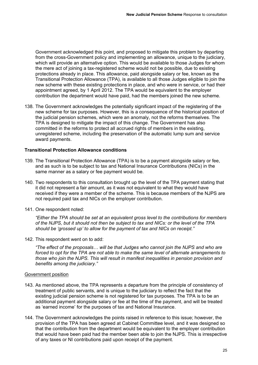Government acknowledged this point, and proposed to mitigate this problem by departing from the cross-Government policy and implementing an allowance, unique to the judiciary, which will provide an alternative option. This would be available to those Judges for whom the mere act of joining a tax-registered scheme would not be possible, due to existing protections already in place. This allowance, paid alongside salary or fee, known as the Transitional Protection Allowance (TPA), is available to all those Judges eligible to join the new scheme with these existing protections in place, and who were in service, or had their appointment agreed, by 1 April 2012. The TPA would be equivalent to the employer contribution the department would have paid, had the members joined the new scheme.

138. The Government acknowledges the potentially significant impact of the registering of the new scheme for tax purposes. However, this is a consequence of the historical position of the judicial pension schemes, which were an anomaly, not the reforms themselves. The TPA is designed to mitigate the impact of this change. The Government has also committed in the reforms to protect all accrued rights of members in the existing, unregistered scheme, including the preservation of the automatic lump sum and service award payments.

#### **Transitional Protection Allowance conditions**

- 139. The Transitional Protection Allowance (TPA) is to be a payment alongside salary or fee, and as such is to be subject to tax and National Insurance Contributions (NICs) in the same manner as a salary or fee payment would be.
- 140. Two respondents to this consultation brought up the level of the TPA payment stating that it did not represent a fair amount, as it was not equivalent to what they would have received if they were a member of the scheme. This is because members of the NJPS are not required paid tax and NICs on the employer contribution.
- 141. One respondent noted:

*"Either the TPA should be set at an equivalent gross level to the contributions for members of the NJPS, but it should not then be subject to tax and NICs: or the level of the TPA should be 'grossed up' to allow for the payment of tax and NICs on receipt."* 

142. This respondent went on to add:

*"The effect of the proposals… will be that Judges who cannot join the NJPS and who are forced to opt for the TPA are not able to make the same level of alternate arrangements to those who join the NJPS. This will result in manifest inequalities in pension provision and benefits among the judiciary."* 

#### Government position

- 143. As mentioned above, the TPA represents a departure from the principle of consistency of treatment of public servants, and is unique to the judiciary to reflect the fact that the existing judicial pension scheme is not registered for tax purposes. The TPA is to be an additional payment alongside salary or fee at the time of the payment, and will be treated as 'earned income' for the purposes of tax and National Insurance.
- 144. The Government acknowledges the points raised in reference to this issue; however, the provision of the TPA has been agreed at Cabinet Committee level, and it was designed so that the contribution from the department would be equivalent to the employer contribution that would have been paid had the member been able to join the NJPS. This is irrespective of any taxes or NI contributions paid upon receipt of the payment.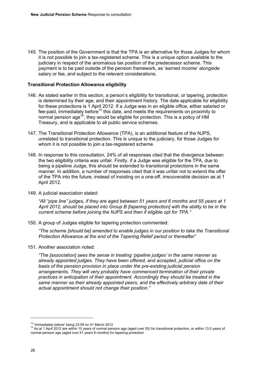145. The position of the Government is that the TPA is an alternative for those Judges for whom it is not possible to join a tax-registered scheme. This is a unique option available to the judiciary in respect of the anomalous tax position of the predecessor scheme. This payment is to be paid outside of the pension framework, as 'earned income' alongside salary or fee, and subject to the relevant considerations.

#### **Transitional Protection Allowance eligibility**

- 146. As stated earlier in this section, a person's eligibility for transitional, or tapering, protection is determined by their age, and their appointment history. The date applicable for eligibility for these protections is 1 April 2012. If a Judge was in an eligible office, either salaried or fee-paid, immediately before<sup>15</sup> this date, and meets the requirements on proximity to normal pension age<sup>16</sup>, they would be eligible for protection. This is a policy of HM Treasury, and is applicable to all public service schemes.
- 147. The Transitional Protection Allowance (TPA), is an additional feature of the NJPS, unrelated to transitional protection. This is unique to the judiciary, for those Judges for whom it is not possible to join a tax-registered scheme.
- 148. In response to this consultation, 24% of all responses cited that the divergence between the two eligibility criteria was unfair. Firstly, if a Judge was eligible for the TPA, due to being a pipeline Judge, this should be extended to transitional protections in the same manner. In addition, a number of responses cited that it was unfair not to extend the offer of the TPA into the future, instead of insisting on a one-off, irrecoverable decision as at 1 April 2012.
- 149. A judicial association stated:

*"All "pipe line" judges, if they are aged between 51 years and 6 months and 55 years at 1 April 2012, should be placed into Group B [tapering protection] with the ability to be in the current scheme before joining the NJPS and then if eligible opt for TPA."* 

150. A group of Judges eligible for tapering protection commented:

*"The scheme [should be] amended to enable judges in our position to take the Transitional Protection Allowance at the end of the Tapering Relief period or thereafter"* 

151. Another association noted:

*"The [association] sees the sense in treating 'pipeline judges' in the same manner as already appointed judges. They have been offered, and accepted, judicial office on the basis of the pension provision in place under the pre-existing judicial pension arrangements. They will very probably have commenced termination of their private practices in anticipation of their appointment. Accordingly they should be treated in the same manner as their already appointed peers, and the effectively arbitrary date of their actual appointment should not change their position."* 

<sup>&</sup>lt;sup>15</sup> 'Immediately before' being 23:59 on 31 March 2012<br><sup>16</sup> As at 1 April 2012 are within 10 years of normal pension age (aged over 55) for transitional protection, or within 13.5 years of normal pension age (aged over 51 years 6 months) for tapering protection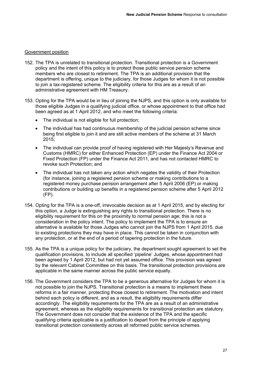#### Government position

- 152. The TPA is unrelated to transitional protection. Transitional protection is a Government policy and the intent of this policy is to protect those public service pension scheme members who are closest to retirement. The TPA is an additional provision that the department is offering, unique to the judiciary, for those Judges for whom it is not possible to join a tax-registered scheme. The eligibility criteria for this are as a result of an administrative agreement with HM Treasury.
- 153. Opting for the TPA would be in lieu of joining the NJPS, and this option is only available for those eligible Judges in a qualifying judicial office, or whose appointment to that office had been agreed as at 1 April 2012, and who meet the following criteria:
	- The individual is not eligible for full protection;
	- The individual has had continuous membership of the judicial pension scheme since being first eligible to join it and are still active members of the scheme at 31 March 2015;
	- The individual can provide proof of having registered with Her Majesty's Revenue and Customs (HMRC) for either Enhanced Protection (EP) under the Finance Act 2004 or Fixed Protection (FP) under the Finance Act 2011, and has not contacted HMRC to revoke such Protection; and
	- The individual has not taken any action which negates the validity of their Protection (for instance, joining a registered pension scheme or making contributions to a registered money purchase pension arrangement after 5 April 2006 (EP) or making contributions or building up benefits in a registered pension scheme after 5 April 2012 (FP).
- 154. Opting for the TPA is a one-off, irrevocable decision as at 1 April 2015, and by electing for this option, a Judge is extinguishing any rights to transitional protection. There is no eligibility requirement for this on the proximity to normal pension age; this is not a consideration in the policy intent. The policy to implement the TPA is to ensure an alternative is available for those Judges who cannot join the NJPS from 1 April 2015, due to existing protections they may have in place. This cannot be taken in conjunction with any protection, or at the end of a period of tapering protection in the future.
- 155. As the TPA is a unique policy for the judiciary, the department sought agreement to set the qualification provisions, to include all specified 'pipeline' Judges, whose appointment had been agreed by 1 April 2012, but had not yet assumed office. This provision was agreed by the relevant Cabinet Committee on this basis. The transitional protection provisions are applicable in the same manner across the public service equally.
- 156. The Government considers the TPA to be a generous alternative for Judges for whom it is not possible to join the NJPS. Transitional protection is a means to implement these reforms in a fair manner, protecting those closest to retirement. The motivation and intent behind each policy is different, and as a result, the eligibility requirements differ accordingly. The eligibility requirements for the TPA are as a result of an administrative agreement, whereas as the eligibility requirements for transitional protection are statutory. The Government does not consider that the existence of the TPA and the specific qualifying criteria applicable is a justification to depart from the principle of applying transitional protection consistently across all reformed public service schemes.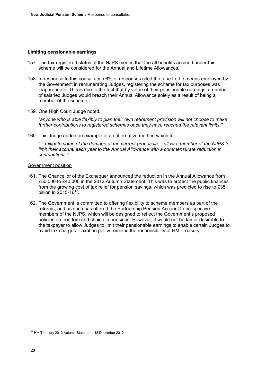#### **Limiting pensionable earnings**

- 157. The tax-registered status of the NJPS means that the all benefits accrued under this scheme will be considered for the Annual and Lifetime Allowances.
- 158. In response to this consultation 6% of responses cited that due to the means employed by the Government in remunerating Judges, registering the scheme for tax purposes was inappropriate. This is due to the fact that by virtue of their pensionable earnings, a number of salaried Judges would breach their Annual Allowance solely as a result of being a member of the scheme.
- 159. One High Court Judge noted:

*"anyone who is able flexibly to plan their own retirement provision will not choose to make further contributions to registered schemes once they have reached the relevant limits."* 

160. This Judge added an example of an alternative method which to:

*"…mitigate some of the damage of the current proposals… allow a member of the NJPS to limit their accrual each year to the Annual Allowance with a commensurate reduction in contributions."* 

#### Government position

- 161. The Chancellor of the Exchequer announced the reduction in the Annual Allowance from £50,000 to £40,000 in the [2012 Autumn Statement](https://www.gov.uk/government/uploads/system/uploads/attachment_data/file/221550/autumn_statement_2012_complete.pdf). This was to protect the public finances from the growing cost of tax relief for pension savings, which was predicted to rise to £35 billion in 2015-16<sup>17</sup>.
- 162. The Government is committed to offering flexibility to scheme members as part of the reforms, and as such has offered the Partnership Pension Account to prospective members of the NJPS, which will be designed to reflect the Government's proposed policies on freedom and choice in pensions. However, it would not be fair or desirable to the taxpayer to allow Judges to limit their pensionable earnings to enable certain Judges to avoid tax charges. Taxation policy remains the responsibility of HM Treasury.

<sup>17</sup> [HM Treasury 2012 Autumn Statement](https://www.gov.uk/government/uploads/system/uploads/attachment_data/file/221550/autumn_statement_2012_complete.pdf), 18 December 2012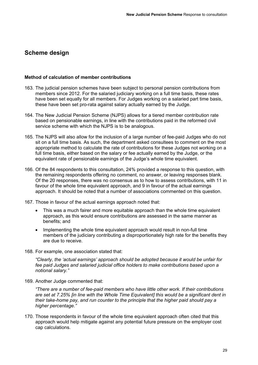### <span id="page-32-0"></span>**Scheme design**

#### **Method of calculation of member contributions**

- 163. The judicial pension schemes have been subject to personal pension contributions from members since 2012. For the salaried judiciary working on a full time basis, these rates have been set equally for all members. For Judges working on a salaried part time basis, these have been set pro-rata against salary actually earned by the Judge.
- 164. The New Judicial Pension Scheme (NJPS) allows for a tiered member contribution rate based on pensionable earnings, in line with the contributions paid in the reformed civil service scheme with which the NJPS is to be analogous.
- 165. The NJPS will also allow for the inclusion of a large number of fee-paid Judges who do not sit on a full time basis. As such, the department asked consultees to comment on the most appropriate method to calculate the rate of contributions for these Judges not working on a full time basis, either based on the salary or fee actually earned by the Judge, or the equivalent rate of pensionable earnings of the Judge's whole time equivalent.
- 166. Of the 84 respondents to this consultation, 24% provided a response to this question, with the remaining respondents offering no comment, no answer, or leaving responses blank. Of the 20 responses, there was no consensus as to how to assess contributions, with 11 in favour of the whole time equivalent approach, and 9 in favour of the actual earnings approach. It should be noted that a number of associations commented on this question.
- 167. Those in favour of the actual earnings approach noted that:
	- This was a much fairer and more equitable approach than the whole time equivalent approach, as this would ensure contributions are assessed in the same manner as benefits; and
	- Implementing the whole time equivalent approach would result in non-full time members of the judiciary contributing a disproportionately high rate for the benefits they are due to receive.
- 168. For example, one association stated that:

*"Clearly, the 'actual earnings' approach should be adopted because it would be unfair for fee paid Judges and salaried judicial office holders to make contributions based upon a notional salary."* 

169. Another Judge commented that:

*"There are a number of fee-paid members who have little other work. If their contributions are set at 7.25% [in line with the Whole Time Equivalent] this would be a significant dent in their take-home pay, and run counter to the principle that the higher paid should pay a higher percentage."* 

170. Those respondents in favour of the whole time equivalent approach often cited that this approach would help mitigate against any potential future pressure on the employer cost cap calculations.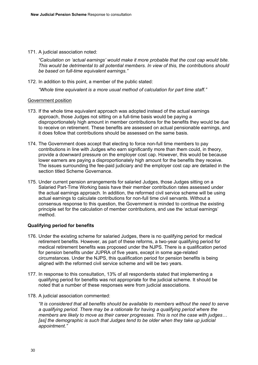171. A judicial association noted:

*"Calculation on 'actual earnings' would make it more probable that the cost cap would bite. This would be detrimental to all potential members. In view of this, the contributions should be based on full-time equivalent earnings."* 

172. In addition to this point, a member of the public stated:

*"Whole time equivalent is a more usual method of calculation for part time staff."* 

#### Government position

- 173. If the whole time equivalent approach was adopted instead of the actual earnings approach, those Judges not sitting on a full-time basis would be paying a disproportionately high amount in member contributions for the benefits they would be due to receive on retirement. These benefits are assessed on actual pensionable earnings, and it does follow that contributions should be assessed on the same basis.
- 174. The Government does accept that electing to force non-full time members to pay contributions in line with Judges who earn significantly more than them could, in theory, provide a downward pressure on the employer cost cap. However, this would be because lower earners are paying a disproportionately high amount for the benefits they receive. The issues surrounding the fee-paid judiciary and the employer cost cap are detailed in the section titled Scheme Governance.
- 175. Under current pension arrangements for salaried Judges, those Judges sitting on a Salaried Part-Time Working basis have their member contribution rates assessed under the actual earnings approach. In addition, the reformed civil service scheme will be using actual earnings to calculate contributions for non-full time civil servants. Without a consensus response to this question, the Government is minded to continue the existing principle set for the calculation of member contributions, and use the 'actual earnings' method.

#### **Qualifying period for benefits**

- 176. Under the existing scheme for salaried Judges, there is no qualifying period for medical retirement benefits. However, as part of these reforms, a two-year qualifying period for medical retirement benefits was proposed under the NJPS. There is a qualification period for pension benefits under JUPRA of five years, except in some age-related circumstances. Under the NJPS, this qualification period for pension benefits is being aligned with the reformed civil service scheme and will be two years.
- 177. In response to this consultation, 13% of all respondents stated that implementing a qualifying period for benefits was not appropriate for the judicial scheme. It should be noted that a number of these responses were from judicial associations.
- 178. A judicial association commented:

*"It is considered that all benefits should be available to members without the need to serve a qualifying period. There may be a rationale for having a qualifying period where the members are likely to move as their career progresses. This is not the case with judges…*  [as] the demographic is such that Judges tend to be older when they take up judicial *appointment."*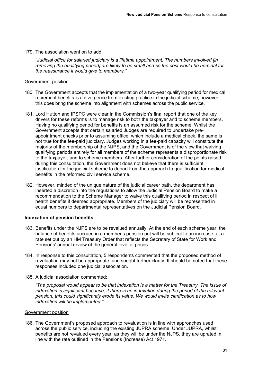179. The association went on to add:

*"Judicial office for salaried judiciary is a lifetime appointment. The numbers involved [in removing the qualifying period] are likely to be small and so the cost would be nominal for the reassurance it would give to members."*

#### Government position

- 180. The Government accepts that the implementation of a two-year qualifying period for medical retirement benefits is a divergence from existing practice in the judicial scheme; however, this does bring the scheme into alignment with schemes across the public service.
- 181. Lord Hutton and IPSPC were clear in the Commission's final report that one of the key drivers for these reforms is to manage risk to both the taxpayer and to scheme members. Having no qualifying period for benefits is an assumed risk for the scheme. Whilst the Government accepts that certain salaried Judges are required to undertake preappointment checks prior to assuming office, which include a medical check, the same is not true for the fee-paid judiciary. Judges working in a fee-paid capacity will constitute the majority of the membership of the NJPS, and the Government is of the view that waiving qualifying periods entirely for all members of the scheme represents a disproportionate risk to the taxpayer, and to scheme members. After further consideration of the points raised during this consultation, the Government does not believe that there is sufficient justification for the judicial scheme to depart from the approach to qualification for medical benefits in the reformed civil service scheme.
- 182. However, minded of the unique nature of the judicial career path, the department has inserted a discretion into the regulations to allow the Judicial Pension Board to make a recommendation to the Scheme Manager to waive this qualifying period in respect of ill health benefits if deemed appropriate. Members of the judiciary will be represented in equal numbers to departmental representatives on the Judicial Pension Board.

#### **Indexation of pension benefits**

- 183. Benefits under the NJPS are to be revalued annually. At the end of each scheme year, the balance of benefits accrued in a member's pension pot will be subject to an increase, at a rate set out by an HM Treasury Order that reflects the Secretary of State for Work and Pensions' annual review of the general level of prices.
- 184. In response to this consultation, 5 respondents commented that the proposed method of revaluation may not be appropriate, and sought further clarity. It should be noted that these responses included one judicial association.
- 185. A judicial association commented:

*"The proposal would appear to be that indexation is a matter for the Treasury. The issue of indexation is significant because, if there is no indexation during the period of the relevant pension, this could significantly erode its value. We would invite clarification as to how indexation will be implemented."* 

#### Government position

186. The Government's proposed approach to revaluation is in line with approaches used across the public service, including the existing JUPRA scheme. Under JUPRA, whilst benefits are not revalued every year, as they will be under the NJPS, they are uprated in line with the rate outlined in the Pensions (Increase) Act 1971.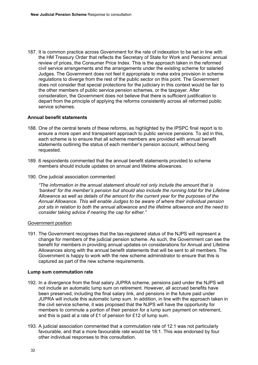187. It is common practice across Government for the rate of indexation to be set in line with the HM Treasury Order that reflects the Secretary of State for Work and Pensions' annual review of prices, the Consumer Price Index. This is the approach taken in the reformed civil service arrangements and the arrangements under the existing scheme for salaried Judges. The Government does not feel it appropriate to make extra provision in scheme regulations to diverge from the rest of the public sector on this point. The Government does not consider that special protections for the judiciary in this context would be fair to the other members of public service pension schemes, or the taxpayer. After consideration, the Government does not believe that there is sufficient justification to depart from the principle of applying the reforms consistently across all reformed public service schemes.

#### **Annual benefit statements**

- 188. One of the central tenets of these reforms, as highlighted by the IPSPC final report is to ensure a more open and transparent approach to public service pensions. To aid in this, each scheme is to ensure that all scheme members are provided with annual benefit statements outlining the status of each member's pension account, without being requested.
- 189. 6 respondents commented that the annual benefit statements provided to scheme members should include updates on annual and lifetime allowances.
- 190. One judicial association commented:

*"The information in the annual statement should not only include the amount that is 'banked' for the member's pension but should also include the running total for the Lifetime Allowance as well as details of the amount for the current year for the purposes of the Annual Allowance. This will enable Judges to be aware of where their individual pension pot sits in relation to both the annual allowance and the lifetime allowance and the need to consider taking advice if nearing the cap for either."*

#### Government position

191. The Government recognises that the tax-registered status of the NJPS will represent a change for members of the judicial pension scheme. As such, the Government can see the benefit for members in providing annual updates on considerations for Annual and Lifetime Allowances along with the annual benefit statements that will be sent to all members. The Government is happy to work with the new scheme administrator to ensure that this is captured as part of the new scheme requirements.

#### **Lump sum commutation rate**

- 192. In a divergence from the final salary JUPRA scheme, pensions paid under the NJPS will not include an automatic lump sum on retirement. However, all accrued benefits have been preserved, including the final salary link, and pensions in the future paid under JUPRA will include this automatic lump sum. In addition, in line with the approach taken in the civil service scheme, it was proposed that the NJPS will have the opportunity for members to commute a portion of their pension for a lump sum payment on retirement, and this is paid at a rate of £1 of pension for £12 of lump sum.
- 193. A judicial association commented that a commutation rate of 12:1 was not particularly favourable, and that a more favourable rate would be 18:1. This was endorsed by four other individual responses to this consultation.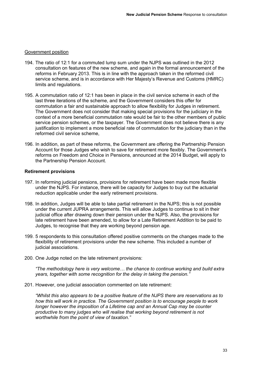#### Government position

- 194. The ratio of 12:1 for a commuted lump sum under the NJPS was outlined in the 2012 consultation on features of the new scheme, and again in the formal announcement of the reforms in February 2013. This is in line with the approach taken in the reformed civil service scheme, and is in accordance with Her Majesty's Revenue and Customs (HMRC) limits and regulations.
- 195. A commutation ratio of 12:1 has been in place in the civil service scheme in each of the last three iterations of the scheme, and the Government considers this offer for commutation a fair and sustainable approach to allow flexibility for Judges in retirement. The Government does not consider that making special provisions for the judiciary in the context of a more beneficial commutation rate would be fair to the other members of public service pension schemes, or the taxpayer. The Government does not believe there is any justification to implement a more beneficial rate of commutation for the judiciary than in the reformed civil service scheme,
- 196. In addition, as part of these reforms, the Government are offering the Partnership Pension Account for those Judges who wish to save for retirement more flexibly. The Government's reforms on Freedom and Choice in Pensions, announced at the 2014 Budget, will apply to the Partnership Pension Account.

#### **Retirement provisions**

- 197. In reforming judicial pensions, provisions for retirement have been made more flexible under the NJPS. For instance, there will be capacity for Judges to buy out the actuarial reduction applicable under the early retirement provisions.
- 198. In addition, Judges will be able to take partial retirement in the NJPS; this is not possible under the current JUPRA arrangements. This will allow Judges to continue to sit in their judicial office after drawing down their pension under the NJPS. Also, the provisions for late retirement have been amended, to allow for a Late Retirement Addition to be paid to Judges, to recognise that they are working beyond pension age.
- 199. 5 respondents to this consultation offered positive comments on the changes made to the flexibility of retirement provisions under the new scheme. This included a number of judicial associations.
- 200. One Judge noted on the late retirement provisions:

*"The methodology here is very welcome… the chance to continue working and build extra years, together with some recognition for the delay in taking the pension."* 

201. However, one judicial association commented on late retirement:

*"Whilst this also appears to be a positive feature of the NJPS there are reservations as to how this will work in practice. The Government position is to encourage people to work longer however the imposition of a Lifetime cap and an Annual Cap may be counter productive to many judges who will realise that working beyond retirement is not worthwhile from the point of view of taxation."*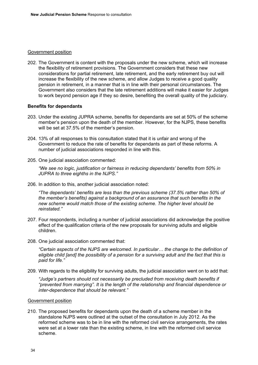#### Government position

202. The Government is content with the proposals under the new scheme, which will increase the flexibility of retirement provisions. The Government considers that these new considerations for partial retirement, late retirement, and the early retirement buy out will increase the flexibility of the new scheme, and allow Judges to receive a good quality pension in retirement, in a manner that is in line with their personal circumstances. The Government also considers that the late retirement additions will make it easier for Judges to work beyond pension age if they so desire, benefiting the overall quality of the judiciary.

#### **Benefits for dependants**

- 203. Under the existing JUPRA scheme, benefits for dependants are set at 50% of the scheme member's pension upon the death of the member. However, for the NJPS, these benefits will be set at 37.5% of the member's pension.
- 204. 13% of all responses to this consultation stated that it is unfair and wrong of the Government to reduce the rate of benefits for dependants as part of these reforms. A number of judicial associations responded in line with this.
- 205. One judicial association commented:

*"We see no logic, justification or fairness in reducing dependants' benefits from 50% in JUPRA to three eighths in the NJPS."* 

206. In addition to this, another judicial association noted:

*"The dependants' benefits are less than the previous scheme (37.5% rather than 50% of the member's benefits) against a background of an assurance that such benefits in the new scheme would match those of the existing scheme. The higher level should be reinstated."* 

- 207. Four respondents, including a number of judicial associations did acknowledge the positive effect of the qualification criteria of the new proposals for surviving adults and eligible children.
- 208. One judicial association commented that:

*"Certain aspects of the NJPS are welcomed. In particular… the change to the definition of eligible child [and] the possibility of a pension for a surviving adult and the fact that this is paid for life."* 

209. With regards to the eligibility for surviving adults, the judicial association went on to add that:

*"Judge's partners should not necessarily be precluded from receiving death benefits if "prevented from marrying". It is the length of the relationship and financial dependence or inter-dependence that should be relevant."* 

#### Government position

210. The proposed benefits for dependants upon the death of a scheme member in the standalone NJPS were outlined at the outset of the consultation in July 2012. As the reformed scheme was to be in line with the reformed civil service arrangements, the rates were set at a lower rate than the existing scheme, in line with the reformed civil service scheme.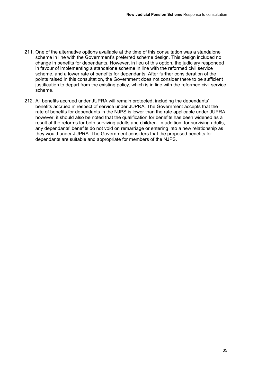- 211. One of the alternative options available at the time of this consultation was a standalone scheme in line with the Government's preferred scheme design. This design included no change in benefits for dependants. However, in lieu of this option, the judiciary responded in favour of implementing a standalone scheme in line with the reformed civil service scheme, and a lower rate of benefits for dependants. After further consideration of the points raised in this consultation, the Government does not consider there to be sufficient justification to depart from the existing policy, which is in line with the reformed civil service scheme.
- 212. All benefits accrued under JUPRA will remain protected, including the dependants' benefits accrued in respect of service under JUPRA. The Government accepts that the rate of benefits for dependants in the NJPS is lower than the rate applicable under JUPRA; however, it should also be noted that the qualification for benefits has been widened as a result of the reforms for both surviving adults and children. In addition, for surviving adults, any dependants' benefits do not void on remarriage or entering into a new relationship as they would under JUPRA. The Government considers that the proposed benefits for dependants are suitable and appropriate for members of the NJPS.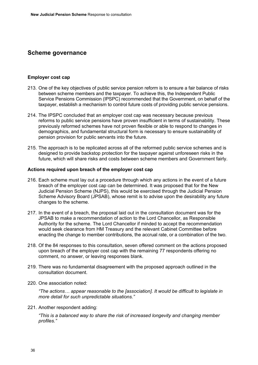### <span id="page-39-0"></span>**Scheme governance**

#### **Employer cost cap**

- 213. One of the key objectives of public service pension reform is to ensure a fair balance of risks between scheme members and the taxpayer. To achieve this, the Independent Public Service Pensions Commission (IPSPC) recommended that the Government, on behalf of the taxpayer, establish a mechanism to control future costs of providing public service pensions.
- 214. The IPSPC concluded that an employer cost cap was necessary because previous reforms to public service pensions have proven insufficient in terms of sustainability. These previously reformed schemes have not proven flexible or able to respond to changes in demographics, and fundamental structural form is necessary to ensure sustainability of pension provision for public servants into the future.
- 215. The approach is to be replicated across all of the reformed public service schemes and is designed to provide backstop protection for the taxpayer against unforeseen risks in the future, which will share risks and costs between scheme members and Government fairly.

#### **Actions required upon breach of the employer cost cap**

- 216. Each scheme must lay out a procedure through which any actions in the event of a future breach of the employer cost cap can be determined. It was proposed that for the New Judicial Pension Scheme (NJPS), this would be exercised through the Judicial Pension Scheme Advisory Board (JPSAB), whose remit is to advise upon the desirability any future changes to the scheme.
- 217. In the event of a breach, the proposal laid out in the consultation document was for the JPSAB to make a recommendation of action to the Lord Chancellor, as Responsible Authority for the scheme. The Lord Chancellor if minded to accept the recommendation would seek clearance from HM Treasury and the relevant Cabinet Committee before enacting the change to member contributions, the accrual rate, or a combination of the two.
- 218. Of the 84 responses to this consultation, seven offered comment on the actions proposed upon breach of the employer cost cap with the remaining 77 respondents offering no comment, no answer, or leaving responses blank.
- 219. There was no fundamental disagreement with the proposed approach outlined in the consultation document.
- 220. One association noted:

*"The actions… appear reasonable to the [association]. It would be difficult to legislate in more detail for such unpredictable situations."* 

221. Another respondent adding:

*"This is a balanced way to share the risk of increased longevity and changing member profiles."*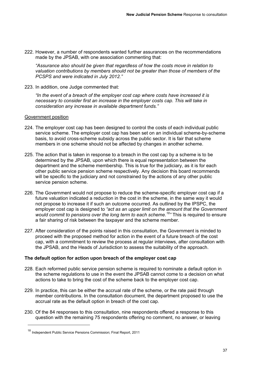222. However, a number of respondents wanted further assurances on the recommendations made by the JPSAB, with one association commenting that:

*"Assurance also should be given that regardless of how the costs move in relation to valuation contributions by members should not be greater than those of members of the PCSPS and were indicated in July 2012."* 

223. In addition, one Judge commented that:

*"In the event of a breach of the employer cost cap where costs have increased it is necessary to consider first an increase in the employer costs cap. This will take in consideration any increase in available department funds."* 

#### Government position

- 224. The employer cost cap has been designed to control the costs of each individual public service scheme. The employer cost cap has been set on an individual scheme-by-scheme basis, to avoid cross-scheme subsidy across the public sector. It is fair that scheme members in one scheme should not be affected by changes in another scheme.
- 225. The action that is taken in response to a breach in the cost cap by a scheme is to be determined by the JPSAB, upon which there is equal representation between the department and the scheme membership. This is true for the judiciary, as it is for each other public service pension scheme respectively. Any decision this board recommends will be specific to the judiciary and not constrained by the actions of any other public service pension scheme.
- 226. The Government would not propose to reduce the scheme-specific employer cost cap if a future valuation indicated a reduction in the cost in the scheme, in the same way it would not propose to increase it if such an outcome occurred. As outlined by the IPSPC, the employer cost cap is designed to *"act as an upper limit on the amount that the Government would commit to pensions over the long term to each scheme.18"* This is required to ensure a fair sharing of risk between the taxpayer and the scheme member.
- 227. After consideration of the points raised in this consultation, the Government is minded to proceed with the proposed method for action in the event of a future breach of the cost cap, with a commitment to review the process at regular interviews, after consultation with the JPSAB, and the Heads of Jurisdiction to assess the suitability of the approach.

#### **The default option for action upon breach of the employer cost cap**

- 228. Each reformed public service pension scheme is required to nominate a default option in the scheme regulations to use in the event the JPSAB cannot come to a decision on what actions to take to bring the cost of the scheme back to the employer cost cap.
- 229. In practice, this can be either the accrual rate of the scheme, or the rate paid through member contributions. In the consultation document, the department proposed to use the accrual rate as the default option in breach of the cost cap.
- 230. Of the 84 responses to this consultation, nine respondents offered a response to this question with the remaining 75 respondents offering no comment, no answer, or leaving

<sup>18</sup> Independent Public Service Pensions Commission; Final Report, 2011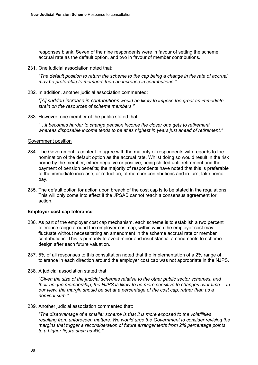responses blank. Seven of the nine respondents were in favour of setting the scheme accrual rate as the default option, and two in favour of member contributions.

231. One judicial association noted that:

*"The default position to return the scheme to the cap being a change in the rate of accrual may be preferable to members than an increase in contributions."* 

232. In addition, another judicial association commented:

*"[A] sudden increase in contributions would be likely to impose too great an immediate strain on the resources of scheme members."* 

233. However, one member of the public stated that:

*"…it becomes harder to change pension income the closer one gets to retirement, whereas disposable income tends to be at its highest in years just ahead of retirement."* 

#### Government position

- 234. The Government is content to agree with the majority of respondents with regards to the nomination of the default option as the accrual rate. Whilst doing so would result in the risk borne by the member, either negative or positive, being shifted until retirement and the payment of pension benefits; the majority of respondents have noted that this is preferable to the immediate increase, or reduction, of member contributions and in turn, take home pay.
- 235. The default option for action upon breach of the cost cap is to be stated in the regulations. This will only come into effect if the JPSAB cannot reach a consensus agreement for action.

#### **Employer cost cap tolerance**

- 236. As part of the employer cost cap mechanism, each scheme is to establish a two percent tolerance range around the employer cost cap, within which the employer cost may fluctuate without necessitating an amendment in the scheme accrual rate or member contributions. This is primarily to avoid minor and insubstantial amendments to scheme design after each future valuation.
- 237. 5% of all responses to this consultation noted that the implementation of a 2% range of tolerance in each direction around the employer cost cap was not appropriate in the NJPS.
- 238. A judicial association stated that:

*"Given the size of the judicial schemes relative to the other public sector schemes, and their unique membership, the NJPS is likely to be more sensitive to changes over time… In our view, the margin should be set at a percentage of the cost cap, rather than as a nominal sum."* 

239. Another judicial association commented that:

*"The disadvantage of a smaller scheme is that it is more exposed to the volatilities resulting from unforeseen matters. We would urge the Government to consider revising the margins that trigger a reconsideration of future arrangements from 2% percentage points to a higher figure such as 4%."*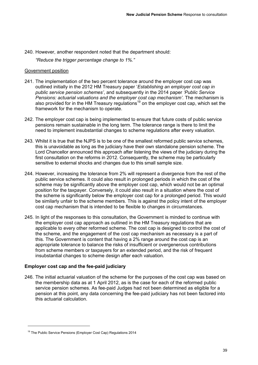240. However, another respondent noted that the department should:

*"Reduce the trigger percentage change to 1%."* 

#### Government position

- 241. The implementation of the two percent tolerance around the employer cost cap was outlined initially in the 2012 HM Treasury paper '*[Establishing an employer cost cap in](https://www.gov.uk/government/uploads/system/uploads/attachment_data/file/205839/Establishing_an_employer_cost_cap_in_public_service_pension_schemes.pdf)  [public service pension schemes'](https://www.gov.uk/government/uploads/system/uploads/attachment_data/file/205839/Establishing_an_employer_cost_cap_in_public_service_pension_schemes.pdf)*, and subsequently in the 2014 paper *['Public Service](https://www.gov.uk/government/uploads/system/uploads/attachment_data/file/289366/public_service_pensions_actuarial_valuations_130314.pdf)  [Pensions: actuarial valuations and the employer cost cap mechanism'](https://www.gov.uk/government/uploads/system/uploads/attachment_data/file/289366/public_service_pensions_actuarial_valuations_130314.pdf).* The mechanism is also provided for in the HM Treasury [regulations](https://www.gov.uk/government/uploads/system/uploads/attachment_data/file/357130/HMT_valuations_and_cost_cap_directions_reconsolidated_Sept_2014.pdf)<sup>19</sup> on the employer cost cap, which set the framework for the mechanism to operate.
- 242. The employer cost cap is being implemented to ensure that future costs of public service pensions remain sustainable in the long term. The tolerance range is there to limit the need to implement insubstantial changes to scheme regulations after every valuation.
- 243. Whilst it is true that the NJPS is to be one of the smallest reformed public service schemes, this is unavoidable as long as the judiciary have their own standalone pension scheme. The Lord Chancellor announced this approach after listening the views of the judiciary during the first consultation on the reforms in 2012. Consequently, the scheme may be particularly sensitive to external shocks and changes due to this small sample size.
- 244. However, increasing the tolerance from 2% will represent a divergence from the rest of the public service schemes. It could also result in prolonged periods in which the cost of the scheme may be significantly above the employer cost cap, which would not be an optimal position for the taxpayer. Conversely, it could also result in a situation where the cost of the scheme is significantly below the employer cost cap for a prolonged period. This would be similarly unfair to the scheme members. This is against the policy intent of the employer cost cap mechanism that is intended to be flexible to changes in circumstances.
- 245. In light of the responses to this consultation, the Government is minded to continue with the employer cost cap approach as outlined in the HM Treasury regulations that are applicable to every other reformed scheme. The cost cap is designed to control the cost of the scheme, and the engagement of the cost cap mechanism as necessary is a part of this. The Government is content that having a 2% range around the cost cap is an appropriate tolerance to balance the risks of insufficient or overgenerous contributions from scheme members or taxpayers for an extended period, and the risk of frequent insubstantial changes to scheme design after each valuation.

#### **Employer cost cap and the fee-paid judiciary**

246. The initial actuarial valuation of the scheme for the purposes of the cost cap was based on the membership data as at 1 April 2012, as is the case for each of the reformed public service pension schemes. As fee-paid Judges had not been determined as eligible for a pension at this point, any data concerning the fee-paid judiciary has not been factored into this actuarial calculation.

<sup>&</sup>lt;sup>19</sup> The Public Service Pensions (Employer Cost Cap) Regulations 2014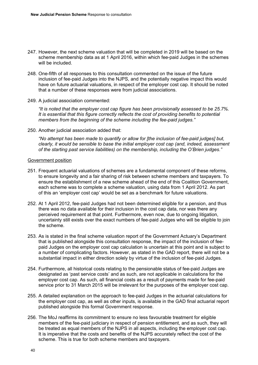- 247. However, the next scheme valuation that will be completed in 2019 will be based on the scheme membership data as at 1 April 2016, within which fee-paid Judges in the schemes will be included.
- 248. One-fifth of all responses to this consultation commented on the issue of the future inclusion of fee-paid Judges into the NJPS, and the potentially negative impact this would have on future actuarial valuations, in respect of the employer cost cap. It should be noted that a number of these responses were from judicial associations.
- 249. A judicial association commented:

*"It is noted that the employer cost cap figure has been provisionally assessed to be 25.7%. It is essential that this figure correctly reflects the cost of providing benefits to potential members from the beginning of the scheme including the fee-paid judges."* 

250. Another judicial association added that:

*"No attempt has been made to quantify or allow for [the inclusion of fee-paid judges] but, clearly, it would be sensible to base the initial employer cost cap (and, indeed, assessment of the starting past service liabilities) on the membership, including the O'Brien judges."* 

#### Government position

- 251. Frequent actuarial valuations of schemes are a fundamental component of these reforms, to ensure longevity and a fair sharing of risk between scheme members and taxpayers. To ensure the establishment of a new scheme ahead of the end of this Coalition Government, each scheme was to complete a scheme valuation, using data from 1 April 2012. As part of this an 'employer cost cap' would be set as a benchmark for future valuations.
- 252. At 1 April 2012, fee-paid Judges had not been determined eligible for a pension, and thus there was no data available for their inclusion in the cost cap data, nor was there any perceived requirement at that point. Furthermore, even now, due to ongoing litigation, uncertainty still exists over the exact numbers of fee-paid Judges who will be eligible to join the scheme.
- 253. As is stated in the final scheme valuation report of the Government Actuary's Department that is published alongside this consultation response, the impact of the inclusion of feepaid Judges on the employer cost cap calculation is uncertain at this point and is subject to a number of complicating factors. However, as stated in the GAD report, there will not be a substantial impact in either direction solely by virtue of the inclusion of fee-paid Judges.
- 254. Furthermore, all historical costs relating to the pensionable status of fee-paid Judges are designated as 'past service costs' and as such, are not applicable in calculations for the employer cost cap. As such, all financial costs as a result of payments made for fee-paid service prior to 31 March 2015 will be irrelevant for the purposes of the employer cost cap.
- 255. A detailed explanation on the approach to fee-paid Judges in the actuarial calculations for the employer cost cap, as well as other inputs, is available in the GAD final actuarial report published alongside this formal Government response.
- 256. The MoJ reaffirms its commitment to ensure no less favourable treatment for eligible members of the fee-paid judiciary in respect of pension entitlement, and as such, they will be treated as equal members of the NJPS in all aspects, including the employer cost cap. It is imperative that the costs and benefits of the NJPS accurately reflect the cost of the scheme. This is true for both scheme members and taxpayers.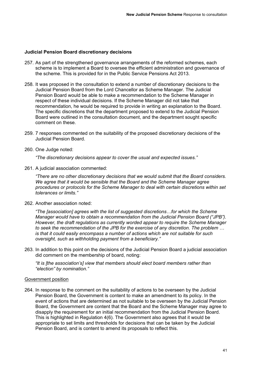#### **Judicial Pension Board discretionary decisions**

- 257. As part of the strengthened governance arrangements of the reformed schemes, each scheme is to implement a Board to oversee the efficient administration and governance of the scheme. This is provided for in the Public Service Pensions Act 2013.
- 258. It was proposed in the consultation to extend a number of discretionary decisions to the Judicial Pension Board from the Lord Chancellor as Scheme Manager. The Judicial Pension Board would be able to make a recommendation to the Scheme Manager in respect of these individual decisions. If the Scheme Manager did not take that recommendation, he would be required to provide in writing an explanation to the Board. The specific discretions that the department proposed to extend to the Judicial Pension Board were outlined in the consultation document, and the department sought specific comment on these.
- 259. 7 responses commented on the suitability of the proposed discretionary decisions of the Judicial Pension Board.
- 260. One Judge noted:

*"The discretionary decisions appear to cover the usual and expected issues."* 

261. A judicial association commented:

*"There are no other discretionary decisions that we would submit that the Board considers. We agree that it would be sensible that the Board and the Scheme Manager agree procedures or protocols for the Scheme Manager to deal with certain discretions within set tolerances or limits."* 

262. Another association noted:

*"The [association] agrees with the list of suggested discretions…for which the Scheme Manager would have to obtain a recommendation from the Judicial Pension Board ("JPB"). However, the draft regulations as currently worded appear to require the Scheme Manager to seek the recommendation of the JPB for the exercise of any discretion. The problem … is that it could easily encompass a number of actions which are not suitable for such oversight, such as withholding payment from a beneficiary."* 

263. In addition to this point on the decisions of the Judicial Pension Board a judicial association did comment on the membership of board, noting:

*"It is [the association's] view that members should elect board members rather than "election" by nomination."* 

#### Government position

264. In response to the comment on the suitability of actions to be overseen by the Judicial Pension Board, the Government is content to make an amendment to its policy. In the event of actions that are determined as not suitable to be overseen by the Judicial Pension Board, the Government are content that the Board and the Scheme Manager may agree to disapply the requirement for an initial recommendation from the Judicial Pension Board. This is highlighted in Regulation 4(6). The Government also agrees that it would be appropriate to set limits and thresholds for decisions that can be taken by the Judicial Pension Board, and is content to amend its proposals to reflect this.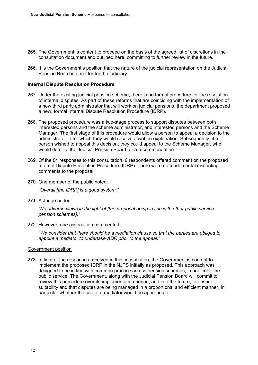- 265. The Government is content to proceed on the basis of the agreed list of discretions in the consultation document and outlined here, committing to further review in the future.
- 266. It is the Government's position that the nature of the judicial representation on the Judicial Pension Board is a matter for the judiciary.

#### **Internal Dispute Resolution Procedure**

- 267. Under the existing judicial pension scheme, there is no formal procedure for the resolution of internal disputes. As part of these reforms that are coinciding with the implementation of a new third party administrator that will work on judicial pensions, the department proposed a new, formal Internal Dispute Resolution Procedure (IDRP).
- 268. The proposed procedure was a two-stage process to support disputes between both interested persons and the scheme administrator, and interested persons and the Scheme Manager. The first stage of this procedure would allow a person to appeal a decision to the administrator, after which they would receive a written explanation. Subsequently, if a person wished to appeal this decision, they could appeal to the Scheme Manager, who would defer to the Judicial Pension Board for a recommendation.
- 269. Of the 84 responses to this consultation, 6 respondents offered comment on the proposed Internal Dispute Resolution Procedure (IDRP). There were no fundamental dissenting comments to the proposal.
- 270. One member of the public noted:

*"Overall [the IDRP] is a good system."* 

271. A Judge added:

*"No adverse views in the light of [the proposal being in line with other public service pension schemes]."* 

272. However, one association commented:

*"We consider that there should be a mediation clause so that the parties are obliged to appoint a mediator to undertake ADR prior to the appeal."* 

#### Government position

273. In light of the responses received in this consultation, the Government is content to implement the proposed IDRP in the NJPS initially as proposed. This approach was designed to be in line with common practice across pension schemes, in particular the public service. The Government, along with the Judicial Pension Board will commit to review this procedure over its implementation period, and into the future, to ensure suitability and that disputes are being managed in a proportional and efficient manner, in particular whether the use of a mediator would be appropriate.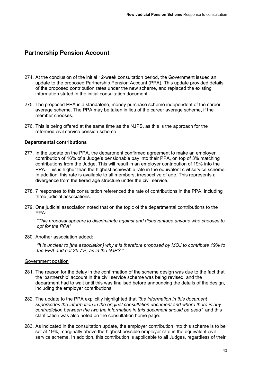### <span id="page-46-0"></span>**Partnership Pension Account**

- 274. At the conclusion of the initial 12-week consultation period, the Government issued an update to the proposed Partnership Pension Account (PPA). This update provided details of the proposed contribution rates under the new scheme, and replaced the existing information stated in the initial consultation document.
- 275. The proposed PPA is a standalone, money purchase scheme independent of the career average scheme. The PPA may be taken in lieu of the career average scheme, if the member chooses.
- 276. This is being offered at the same time as the NJPS, as this is the approach for the reformed civil service pension scheme

#### **Departmental contributions**

- 277. In the update on the PPA, the department confirmed agreement to make an employer contribution of 16% of a Judge's pensionable pay into their PPA, on top of 3% matching contributions from the Judge. This will result in an employer contribution of 19% into the PPA. This is higher than the highest achievable rate in the equivalent civil service scheme. In addition, this rate is available to all members, irrespective of age. This represents a divergence from the tiered age structure under the civil service.
- 278. 7 responses to this consultation referenced the rate of contributions in the PPA, including three judicial associations.
- 279. One judicial association noted that on the topic of the departmental contributions to the PPA:

*"This proposal appears to discriminate against and disadvantage anyone who chooses to opt for the PPA"* 

280. Another association added:

*"It is unclear to [the association] why it is therefore proposed by MOJ to contribute 19% to the PPA and not 25.7%, as in the NJPS."* 

#### Government position

- 281. The reason for the delay in the confirmation of the scheme design was due to the fact that the 'partnership' account in the civil service scheme was being revised, and the department had to wait until this was finalised before announcing the details of the design, including the employer contributions.
- 282. The update to the PPA explicitly highlighted that *"the information in this document supersedes the information in the original consultation document and where there is any contradiction between the two the information in this document should be used"*, and this clarification was also noted on the consultation home page.
- 283. As indicated in the consultation update, the employer contribution into this scheme is to be set at 19%, marginally above the highest possible employer rate in the equivalent civil service scheme. In addition, this contribution is applicable to all Judges, regardless of their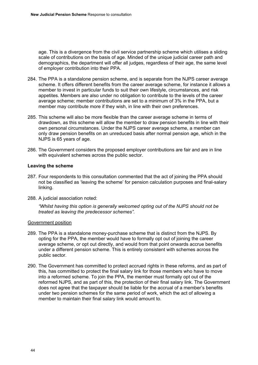age. This is a divergence from the civil service partnership scheme which utilises a sliding scale of contributions on the basis of age. Minded of the unique judicial career path and demographics, the department will offer all judges, regardless of their age, the same level of employer contribution into their PPA.

- 284. The PPA is a standalone pension scheme, and is separate from the NJPS career average scheme. It offers different benefits from the career average scheme, for instance it allows a member to invest in particular funds to suit their own lifestyle, circumstances, and risk appetites. Members are also under no obligation to contribute to the levels of the career average scheme; member contributions are set to a minimum of 3% in the PPA, but a member may contribute more if they wish, in line with their own preferences.
- 285. This scheme will also be more flexible than the career average scheme in terms of drawdown, as this scheme will allow the member to draw pension benefits in line with their own personal circumstances. Under the NJPS career average scheme, a member can only draw pension benefits on an unreduced basis after normal pension age, which in the NJPS is 65 years of age.
- 286. The Government considers the proposed employer contributions are fair and are in line with equivalent schemes across the public sector.

#### **Leaving the scheme**

- 287. Four respondents to this consultation commented that the act of joining the PPA should not be classified as 'leaving the scheme' for pension calculation purposes and final-salary linking.
- 288. A judicial association noted:

*"Whilst having this option is generally welcomed opting out of the NJPS should not be treated as leaving the predecessor schemes".*

#### Government position

- 289. The PPA is a standalone money-purchase scheme that is distinct from the NJPS. By opting for the PPA, the member would have to formally opt out of joining the career average scheme, or opt out directly, and would from that point onwards accrue benefits under a different pension scheme. This is entirely consistent with schemes across the public sector.
- 290. The Government has committed to protect accrued rights in these reforms, and as part of this, has committed to protect the final salary link for those members who have to move into a reformed scheme. To join the PPA, the member must formally opt out of the reformed NJPS, and as part of this, the protection of their final salary link. The Government does not agree that the taxpayer should be liable for the accrual of a member's benefits under two pension schemes for the same period of work, which the act of allowing a member to maintain their final salary link would amount to.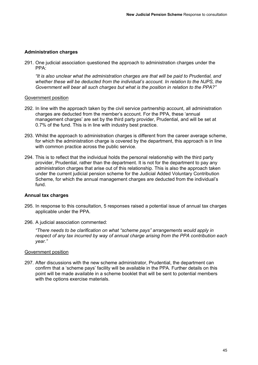#### **Administration charges**

291. One judicial association questioned the approach to administration charges under the PPA:

*"It is also unclear what the administration charges are that will be paid to Prudential, and whether these will be deducted from the individual's account. In relation to the NJPS, the Government will bear all such charges but what is the position in relation to the PPA?"* 

#### Government position

- 292. In line with the approach taken by the civil service partnership account, all administration charges are deducted from the member's account. For the PPA, these 'annual management charges' are set by the third party provider, Prudential, and will be set at 0.7% of the fund. This is in line with industry best practice.
- 293. Whilst the approach to administration charges is different from the career average scheme, for which the administration charge is covered by the department, this approach is in line with common practice across the public service.
- 294. This is to reflect that the individual holds the personal relationship with the third party provider, Prudential, rather than the department. It is not for the department to pay any administration charges that arise out of this relationship. This is also the approach taken under the current judicial pension scheme for the Judicial Added Voluntary Contribution Scheme, for which the annual management charges are deducted from the individual's fund.

#### **Annual tax charges**

- 295. In response to this consultation, 5 responses raised a potential issue of annual tax charges applicable under the PPA.
- 296. A judicial association commented:

*"There needs to be clarification on what "scheme pays" arrangements would apply in respect of any tax incurred by way of annual charge arising from the PPA contribution each year."* 

- Government position
- 297. After discussions with the new scheme administrator, Prudential, the department can confirm that a 'scheme pays' facility will be available in the PPA. Further details on this point will be made available in a scheme booklet that will be sent to potential members with the options exercise materials.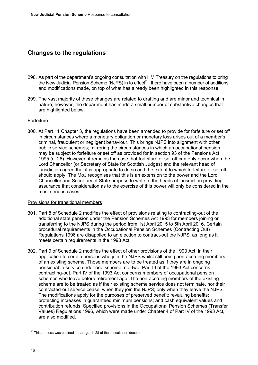### <span id="page-49-0"></span>**Changes to the regulations**

- 298. As part of the department's ongoing consultation with HM Treasury on the regulations to bring the New Judicial Pension Scheme (NJPS) in to effect<sup>20</sup>, there have been a number of additions and modifications made, on top of what has already been highlighted in this response.
- 299. The vast majority of these changes are related to drafting and are minor and technical in nature; however, the department has made a small number of substantive changes that are highlighted below.

#### Forfeiture

300. At Part 11 Chapter 3, the regulations have been amended to provide for forfeiture or set off in circumstances where a monetary obligation or monetary loss arises out of a member's criminal, fraudulent or negligent behaviour. This brings NJPS into alignment with other public service schemes; mirroring the circumstances in which an occupational pension may be subject to forfeiture or set off as provided for in section 93 of the Pensions Act 1995 (c. 26). However, it remains the case that forfeiture or set off can only occur when the Lord Chancellor (or Secretary of State for Scottish Judges) and the relevant head of jurisdiction agree that it is appropriate to do so and the extent to which forfeiture or set off should apply. The MoJ recognises that this is an extension to the power and the Lord Chancellor and Secretary of State propose to write to the heads of jurisdiction providing assurance that consideration as to the exercise of this power will only be considered in the most serious cases.

#### Provisions for transitional members

- 301. Part 8 of Schedule 2 modifies the effect of provisions relating to contracting-out of the additional state pension under the Pension Schemes Act 1993 for members joining or transferring to the NJPS during the period from 1st April 2015 to 5th April 2016. Certain procedural requirements in the Occupational Pension Schemes (Contracting Out) Regulations 1996 are disapplied to an election to contract-out the NJPS, as long as it meets certain requirements in the 1993 Act.
- 302. Part 9 of Schedule 2 modifies the effect of other provisions of the 1993 Act, in their application to certain persons who join the NJPS whilst still being non-accruing members of an existing scheme. Those members are to be treated as if they are in ongoing pensionable service under one scheme, not two. Part III of the 1993 Act concerns contracting-out. Part IV of the 1993 Act concerns members of occupational pension schemes who leave before retirement age. The non-accruing members of the existing scheme are to be treated as if their existing scheme service does not terminate, nor their contracted-out service cease, when they join the NJPS; only when they leave the NJPS. The modifications apply for the purposes of preserved benefit; revaluing benefits; protecting increases in guaranteed minimum pensions; and cash equivalent values and contribution refunds. Specified provisions in the Occupational Pension Schemes (Transfer Values) Regulations 1996, which were made under Chapter 4 of Part IV of the 1993 Act, are also modified.

 $20$  This process was outlined in paragraph 28 of the consultation document.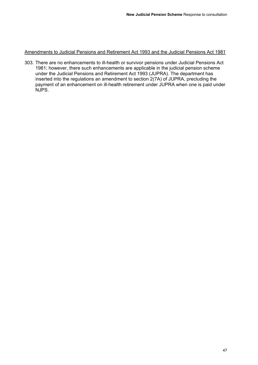#### Amendments to Judicial Pensions and Retirement Act 1993 and the Judicial Pensions Act 1981

303. There are no enhancements to ill-health or survivor pensions under Judicial Pensions Act 1981; however, there such enhancements are applicable in the judicial pension scheme under the Judicial Pensions and Retirement Act 1993 (JUPRA). The department has inserted into the regulations an amendment to section 2(7A) of JUPRA, precluding the payment of an enhancement on ill-health retirement under JUPRA when one is paid under NJPS.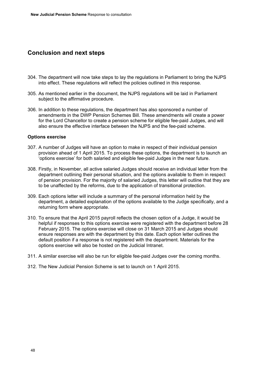### <span id="page-51-0"></span>**Conclusion and next steps**

- 304. The department will now take steps to lay the regulations in Parliament to bring the NJPS into effect. These regulations will reflect the policies outlined in this response.
- 305. As mentioned earlier in the document, the NJPS regulations will be laid in Parliament subject to the affirmative procedure.
- 306. In addition to these regulations, the department has also sponsored a number of amendments in the DWP Pension Schemes Bill. These amendments will create a power for the Lord Chancellor to create a pension scheme for eligible fee-paid Judges, and will also ensure the effective interface between the NJPS and the fee-paid scheme.

#### **Options exercise**

- 307. A number of Judges will have an option to make in respect of their individual pension provision ahead of 1 April 2015. To process these options, the department is to launch an 'options exercise' for both salaried and eligible fee-paid Judges in the near future.
- 308. Firstly, in November, all active salaried Judges should receive an individual letter from the department outlining their personal situation, and the options available to them in respect of pension provision. For the majority of salaried Judges, this letter will outline that they are to be unaffected by the reforms, due to the application of transitional protection.
- 309. Each options letter will include a summary of the personal information held by the department, a detailed explanation of the options available to the Judge specifically, and a returning form where appropriate.
- 310. To ensure that the April 2015 payroll reflects the chosen option of a Judge, it would be helpful if responses to this options exercise were registered with the department before 28 February 2015. The options exercise will close on 31 March 2015 and Judges should ensure responses are with the department by this date. Each option letter outlines the default position if a response is not registered with the department. Materials for the options exercise will also be hosted on the Judicial Intranet.
- 311. A similar exercise will also be run for eligible fee-paid Judges over the coming months.
- 312. The New Judicial Pension Scheme is set to launch on 1 April 2015.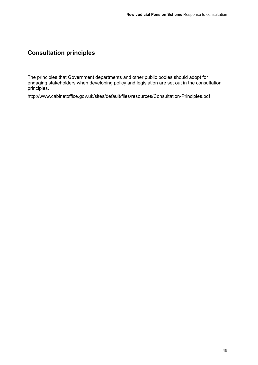### <span id="page-52-0"></span>**Consultation principles**

The principles that Government departments and other public bodies should adopt for engaging stakeholders when developing policy and legislation are set out in the consultation principles.

<http://www.cabinetoffice.gov.uk/sites/default/files/resources/Consultation-Principles.pdf>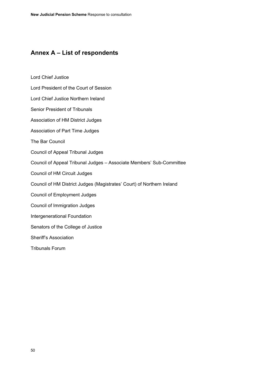## <span id="page-53-0"></span>**Annex A – List of respondents**

| <b>Lord Chief Justice</b>                                              |
|------------------------------------------------------------------------|
| Lord President of the Court of Session                                 |
| Lord Chief Justice Northern Ireland                                    |
| <b>Senior President of Tribunals</b>                                   |
| Association of HM District Judges                                      |
| Association of Part Time Judges                                        |
| The Bar Council                                                        |
| <b>Council of Appeal Tribunal Judges</b>                               |
| Council of Appeal Tribunal Judges - Associate Members' Sub-Committee   |
| <b>Council of HM Circuit Judges</b>                                    |
| Council of HM District Judges (Magistrates' Court) of Northern Ireland |
| <b>Council of Employment Judges</b>                                    |
| Council of Immigration Judges                                          |
| Intergenerational Foundation                                           |
| Senators of the College of Justice                                     |
| <b>Sheriff's Association</b>                                           |
| <b>Tribunals Forum</b>                                                 |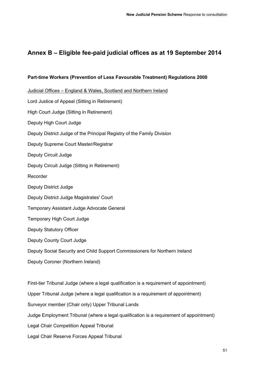### <span id="page-54-0"></span>**Annex B – Eligible fee-paid judicial offices as at 19 September 2014**

# **Part-time Workers (Prevention of Less Favourable Treatment) Regulations 2000**  Judicial Offices – England & Wales, Scotland and Northern Ireland Lord Justice of Appeal (Sitting in Retirement) High Court Judge (Sitting in Retirement) Deputy High Court Judge Deputy District Judge of the Principal Registry of the Family Division Deputy Supreme Court Master/Registrar Deputy Circuit Judge Deputy Circuit Judge (Sitting in Retirement) Recorder Deputy District Judge Deputy District Judge Magistrates' Court Temporary Assistant Judge Advocate General Temporary High Court Judge Deputy Statutory Officer Deputy County Court Judge Deputy Social Security and Child Support Commissioners for Northern Ireland Deputy Coroner (Northern Ireland) First-tier Tribunal Judge (where a legal qualification is a requirement of appointment) Upper Tribunal Judge (where a legal qualification is a requirement of appointment) Surveyor member (Chair only) Upper Tribunal Lands Judge Employment Tribunal (where a legal qualification is a requirement of appointment) Legal Chair Competition Appeal Tribunal Legal Chair Reserve Forces Appeal Tribunal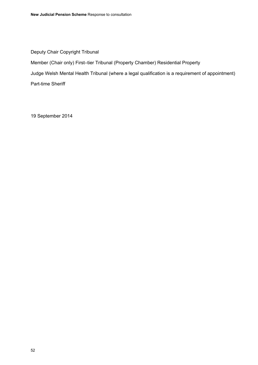Deputy Chair Copyright Tribunal

Member (Chair only) First–tier Tribunal (Property Chamber) Residential Property

Judge Welsh Mental Health Tribunal (where a legal qualification is a requirement of appointment)

Part-time Sheriff

19 September 2014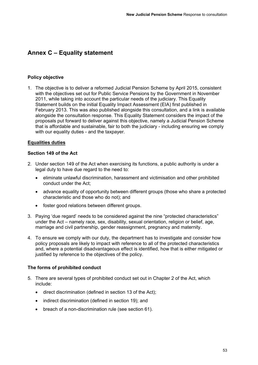### <span id="page-56-0"></span>**Annex C – Equality statement**

#### **Policy objective**

1. The objective is to deliver a reformed Judicial Pension Scheme by April 2015, consistent with the objectives set out for Public Service Pensions by the Government in November 2011, while taking into account the particular needs of the judiciary. This Equality Statement builds on the initial Equality Impact Assessment (EIA) first published in February 2013. This was also published alongside this consultation, and a link is available alongside the consultation response. This Equality Statement considers the impact of the proposals put forward to deliver against this objective, namely a Judicial Pension Scheme that is affordable and sustainable, fair to both the judiciary - including ensuring we comply with our equality duties - and the taxpayer.

#### **Equalities duties**

#### **Section 149 of the Act**

- 2. Under section 149 of the Act when exercising its functions, a public authority is under a legal duty to have due regard to the need to:
	- eliminate unlawful discrimination, harassment and victimisation and other prohibited conduct under the Act;
	- advance equality of opportunity between different groups (those who share a protected characteristic and those who do not); and
	- foster good relations between different groups.
- 3. Paying 'due regard' needs to be considered against the nine "protected characteristics" under the Act – namely race, sex, disability, sexual orientation, religion or belief, age, marriage and civil partnership, gender reassignment, pregnancy and maternity.
- 4. To ensure we comply with our duty, the department has to investigate and consider how policy proposals are likely to impact with reference to all of the protected characteristics and, where a potential disadvantageous effect is identified, how that is either mitigated or justified by reference to the objectives of the policy.

#### **The forms of prohibited conduct**

- 5. There are several types of prohibited conduct set out in Chapter 2 of the Act, which include:
	- direct discrimination (defined in section 13 of the Act);
	- indirect discrimination (defined in section 19); and
	- breach of a non-discrimination rule (see section 61).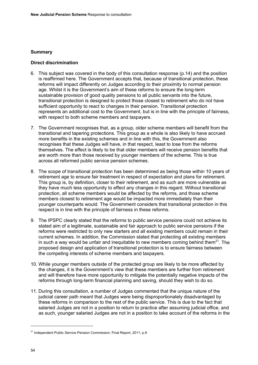#### **Summary**

#### **Direct discrimination**

- 6. This subject was covered in the body of this consultation response (p.14) and the position is reaffirmed here. The Government accepts that, because of transitional protection, these reforms will impact differently on Judges according to their proximity to normal pension age. Whilst it is the Government's aim of these reforms to ensure the long-term sustainable provision of good quality pensions to all public servants into the future, transitional protection is designed to protect those closest to retirement who do not have sufficient opportunity to react to changes in their pension. Transitional protection represents an additional cost to the Government, but is in line with the principle of fairness, with respect to both scheme members and taxpayers.
- 7. The Government recognises that, as a group, older scheme members will benefit from the transitional and tapering protections. This group as a whole is also likely to have accrued more benefits in the existing schemes and in line with this, the Government also recognises that these Judges will have, in that respect, least to lose from the reforms themselves. The effect is likely to be that older members will receive pension benefits that are worth more than those received by younger members of the scheme. This is true across all reformed public service pension schemes.
- 8. The scope of transitional protection has been determined as being those within 10 years of retirement age to ensure fair treatment in respect of expectation and plans for retirement. This group is, by definition, closer to their retirement, and as such are more vulnerable as they have much less opportunity to effect any changes in this regard. Without transitional protection, all scheme members would be affected by the reforms, and those scheme members closest to retirement age would be impacted more immediately than their younger counterparts would. The Government considers that transitional protection in this respect is in line with the principle of fairness in these reforms.
- 9. The IPSPC clearly stated that the reforms to public service pensions could not achieve its stated aim of a legitimate, sustainable and fair approach to public service pensions if the reforms were restricted to only new starters and all existing members could remain in their current schemes. In addition, the Commission stated that protecting all existing members in such a way would be unfair and inequitable to new members coming behind them<sup>21</sup>. The proposed design and application of transitional protection is to ensure fairness between the competing interests of scheme members and taxpayers.
- 10. While younger members outside of the protected group are likely to be more affected by the changes, it is the Government's view that these members are further from retirement and will therefore have more opportunity to mitigate the potentially negative impacts of the reforms through long-term financial planning and saving, should they wish to do so.
- 11. During this consultation, a number of Judges commented that the unique nature of the judicial career path meant that Judges were being disproportionately disadvantaged by these reforms in comparison to the rest of the public service. This is due to the fact that salaried Judges are not in a position to return to practice after assuming judicial office, and as such, younger salaried Judges are not in a position to take account of the reforms in the

<sup>&</sup>lt;sup>21</sup> Independent Public Service Pension Commission: Final Report, 2011; p.9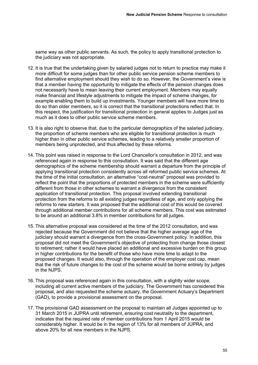same way as other public servants. As such, the policy to apply transitional protection to the judiciary was not appropriate.

- 12. It is true that the undertaking given by salaried judges not to return to practice may make it more difficult for some judges than for other public service pension scheme members to find alternative employment should they wish to do so. However, the Government's view is that a member having the opportunity to mitigate the effects of the pension changes does not necessarily have to mean leaving their current employment. Members may equally make financial and lifestyle adjustments to mitigate the impact of scheme changes, for example enabling them to build up investments. Younger members will have more time to do so than older members, so it is correct that the transitional protections reflect that. In this respect, the justification for transitional protection in general applies to Judges just as much as it does to other public service scheme members.
- 13. It is also right to observe that, due to the particular demographics of the salaried judiciary, the proportion of scheme members who are eligible for transitional protection is much higher than in other public service schemes, leading to a relatively smaller proportion of members being unprotected, and thus affected by these reforms.
- 14. This point was raised in response to the Lord Chancellor's consultation in 2012, and was referenced again in response to this consultation. It was said that the different age demographics of the scheme membership should warrant a departure from the principle of applying transitional protection consistently across all reformed public service schemes. At the time of the initial consultation, an alternative "cost-neutral" proposal was provided to reflect the point that the proportions of protected members in the scheme were sufficiently different from those in other schemes to warrant a divergence from the consistent application of transitional protection. This proposal involved extending transitional protection from the reforms to all existing judges regardless of age, and only applying the reforms to new starters. It was proposed that the additional cost of this would be covered through additional member contributions for all scheme members. This cost was estimated to be around an additional 3.8% in member contributions for all judges.
- 15. This alternative proposal was considered at the time of the 2012 consultation, and was rejected because the Government did not believe that the higher average age of the judiciary should warrant a divergence from the cross-Government policy. In addition, this proposal did not meet the Government's objective of protecting from change those closest to retirement; rather it would have placed an additional and excessive burden on this group in higher contributions for the benefit of those who have more time to adapt to the proposed changes. It would also, through the operation of the employer cost cap, mean that the risk of future changes to the cost of the scheme would be borne entirely by judges in the NJPS.
- 16. This proposal was referenced again in this consultation, with a slightly wider scope, including all current active members of the judiciary. The Government has considered this proposal, and also requested the scheme actuary, the Government Actuary's Department (GAD), to provide a provisional assessment on the proposal.
- 17. The provisional GAD assessment on the proposal to maintain all Judges appointed up to 31 March 2015 in JUPRA until retirement, ensuring cost neutrality to the department, indicates that the required rate of member contributions from 1 April 2015 would be considerably higher. It would be in the region of 13% for all members of JUPRA, and above 20% for all new members in the NJPS.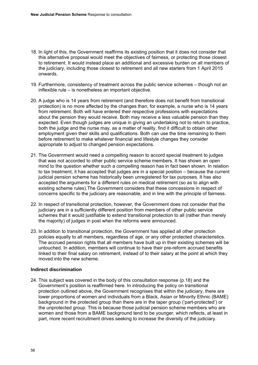- 18. In light of this, the Government reaffirms its existing position that it does not consider that this alternative proposal would meet the objectives of fairness, or protecting those closest to retirement. It would instead place an additional and excessive burden on all members of the judiciary, including those closest to retirement and all new starters from 1 April 2015 onwards.
- 19. Furthermore, consistency of treatment across the public service schemes though not an inflexible rule – is nonetheless an important objective.
- 20. A judge who is 14 years from retirement (and therefore does not benefit from transitional protection) is no more affected by the changes than, for example, a nurse who is 14 years from retirement. Both will have entered their respective professions with expectations about the pension they would receive. Both may receive a less valuable pension than they expected. Even though judges are unique in giving an undertaking not to return to practice, both the judge and the nurse may, as a matter of reality, find it difficult to obtain other employment given their skills and qualifications. Both can use the time remaining to them before retirement to make whatever financial and lifestyle changes they consider appropriate to adjust to changed pension expectations.
- 21. The Government would need a compelling reason to accord special treatment to judges that was not accorded to other public service scheme members. It has shown an open mind to the question whether such a compelling reason has in fact been shown. In relation to tax treatment, it has accepted that judges are in a special position – because the current judicial pension scheme has historically been unregistered for tax purposes. It has also accepted the arguments for a different rules on medical retirement (so as to align with existing scheme rules).The Government considers that these concessions in respect of concerns specific to the judiciary are reasonable, and in line with the principle of fairness.
- 22. In respect of transitional protection, however, the Government does not consider that the judiciary are in a sufficiently different position from members of other public service schemes that it would justifiable to extend transitional protection to all (rather than merely the majority) of judges in post when the reforms were announced.
- 23. In addition to transitional protection, the Government has applied all other protection policies equally to all members, regardless of age, or any other protected characteristics. The accrued pension rights that all members have built up in their existing schemes will be untouched. In addition, members will continue to have their pre-reform accrued benefits linked to their final salary on retirement, instead of to their salary at the point at which they moved into the new scheme.

#### **Indirect discrimination**

24. This subject was covered in the body of this consultation response (p.18) and the Government's position is reaffirmed here. In introducing the policy on transitional protection outlined above, the Government recognises that within the judiciary, there are lower proportions of women and individuals from a Black, Asian or Minority Ethnic (BAME) background in the protected group than there are in the taper group ('part-protected') or the unprotected group. This is because those judicial pension scheme members who are women and those from a BAME background tend to be younger, which reflects, at least in part, more recent recruitment drives seeking to increase the diversity of the judiciary.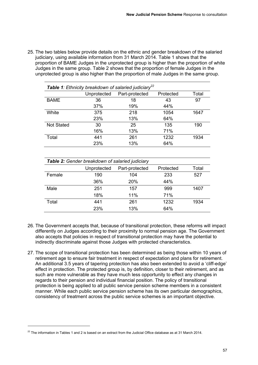25. The two tables below provide details on the ethnic and gender breakdown of the salaried judiciary, using available information from 31 March 2014. Table 1 shows that the proportion of BAME Judges in the unprotected group is higher than the proportion of white Judges in the same group. Table 2 shows that the proportion of female Judges in the unprotected group is also higher than the proportion of male Judges in the same group.

| <b>Table 1:</b> Ethnicity breakdown of salaried judiciary <sup>22</sup> |             |                |           |       |
|-------------------------------------------------------------------------|-------------|----------------|-----------|-------|
|                                                                         | Unprotected | Part-protected | Protected | Total |
| <b>BAME</b>                                                             | 36          | 18             | 43        | 97    |
|                                                                         | 37%         | 19%            | 44%       |       |
| White                                                                   | 375         | 218            | 1054      | 1647  |
|                                                                         | 23%         | 13%            | 64%       |       |
| <b>Not Stated</b>                                                       | 30          | 25             | 135       | 190   |
|                                                                         | 16%         | 13%            | 71%       |       |
| Total                                                                   | 441         | 261            | 1232      | 1934  |
|                                                                         | 23%         | 13%            | 64%       |       |

| Table 2: Gender breakdown of salaried judiciary |             |                |           |       |
|-------------------------------------------------|-------------|----------------|-----------|-------|
|                                                 | Unprotected | Part-protected | Protected | Total |
| Female                                          | 190         | 104            | 233       | 527   |
|                                                 | 36%         | 20%            | 44%       |       |
| Male                                            | 251         | 157            | 999       | 1407  |
|                                                 | 18%         | 11%            | 71%       |       |
| Total                                           | 441         | 261            | 1232      | 1934  |
|                                                 | 23%         | 13%            | 64%       |       |

- 26. The Government accepts that, because of transitional protection, these reforms will impact differently on Judges according to their proximity to normal pension age. The Government also accepts that policies in respect of transitional protection may have the potential to indirectly discriminate against those Judges with protected characteristics.
- 27. The scope of transitional protection has been determined as being those within 10 years of retirement age to ensure fair treatment in respect of expectation and plans for retirement. An additional 3.5 years of tapering protection has also been extended to avoid a 'cliff-edge' effect in protection. The protected group is, by definition, closer to their retirement, and as such are more vulnerable as they have much less opportunity to effect any changes in regards to their pension and individual financial position. The policy of transitional protection is being applied to all public service pension scheme members in a consistent manner. While each public service pension scheme has its own particular demographics, consistency of treatment across the public service schemes is an important objective.

 $^{22}$  The information in Tables 1 and 2 is based on an extract from the Judicial Office database as at 31 March 2014.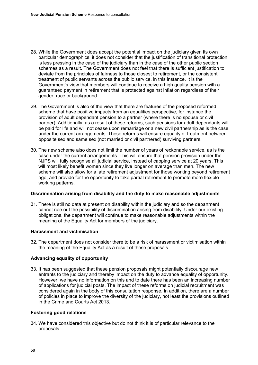- 28. While the Government does accept the potential impact on the judiciary given its own particular demographics, it does not consider that the justification of transitional protection is less pressing in the case of the judiciary than in the case of the other public section schemes as a result. The Government does not feel that there is sufficient justification to deviate from the principles of fairness to those closest to retirement, or the consistent treatment of public servants across the public service, in this instance. It is the Government's view that members will continue to receive a high quality pension with a guaranteed payment in retirement that is protected against inflation regardless of their gender, race or background.
- 29. The Government is also of the view that there are features of the proposed reformed scheme that have positive impacts from an equalities perspective, for instance the provision of adult dependant pension to a partner (where there is no spouse or civil partner). Additionally, as a result of these reforms, such pensions for adult dependants will be paid for life and will not cease upon remarriage or a new civil partnership as is the case under the current arrangements. These reforms will ensure equality of treatment between opposite sex and same sex (not married or civil partnered) surviving partners.
- 30. The new scheme also does not limit the number of years of reckonable service, as is the case under the current arrangements. This will ensure that pension provision under the NJPS will fully recognise all judicial service, instead of capping service at 20 years. This will most likely benefit women since they live longer on average than men. The new scheme will also allow for a late retirement adjustment for those working beyond retirement age, and provide for the opportunity to take partial retirement to promote more flexible working patterns.

#### **Discrimination arising from disability and the duty to make reasonable adjustments**

31. There is still no data at present on disability within the judiciary and so the department cannot rule out the possibility of discrimination arising from disability. Under our existing obligations, the department will continue to make reasonable adjustments within the meaning of the Equality Act for members of the judiciary.

#### **Harassment and victimisation**

32. The department does not consider there to be a risk of harassment or victimisation within the meaning of the Equality Act as a result of these proposals.

#### **Advancing equality of opportunity**

33. It has been suggested that these pension proposals might potentially discourage new entrants to the judiciary and thereby impact on the duty to advance equality of opportunity. However, we have no information on this and to date there has been an increasing number of applications for judicial posts. The impact of these reforms on judicial recruitment was considered again in the body of this consultation response. In addition, there are a number of policies in place to improve the diversity of the judiciary, not least the provisions outlined in the Crime and Courts Act 2013.

#### **Fostering good relations**

34. We have considered this objective but do not think it is of particular relevance to the proposals.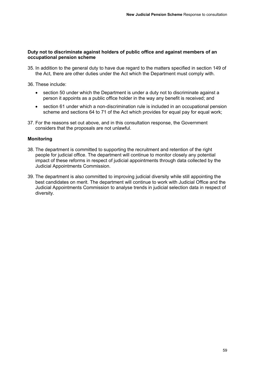#### **Duty not to discriminate against holders of public office and against members of an occupational pension scheme**

- 35. In addition to the general duty to have due regard to the matters specified in section 149 of the Act, there are other duties under the Act which the Department must comply with.
- 36. These include:
	- section 50 under which the Department is under a duty not to discriminate against a person it appoints as a public office holder in the way any benefit is received; and
	- section 61 under which a non-discrimination rule is included in an occupational pension scheme and sections 64 to 71 of the Act which provides for equal pay for equal work;
- 37. For the reasons set out above, and in this consultation response, the Government considers that the proposals are not unlawful.

#### **Monitoring**

- 38. The department is committed to supporting the recruitment and retention of the right people for judicial office. The department will continue to monitor closely any potential impact of these reforms in respect of judicial appointments through data collected by the Judicial Appointments Commission.
- 39. The department is also committed to improving judicial diversity while still appointing the best candidates on merit. The department will continue to work with Judicial Office and the Judicial Appointments Commission to analyse trends in judicial selection data in respect of diversity.